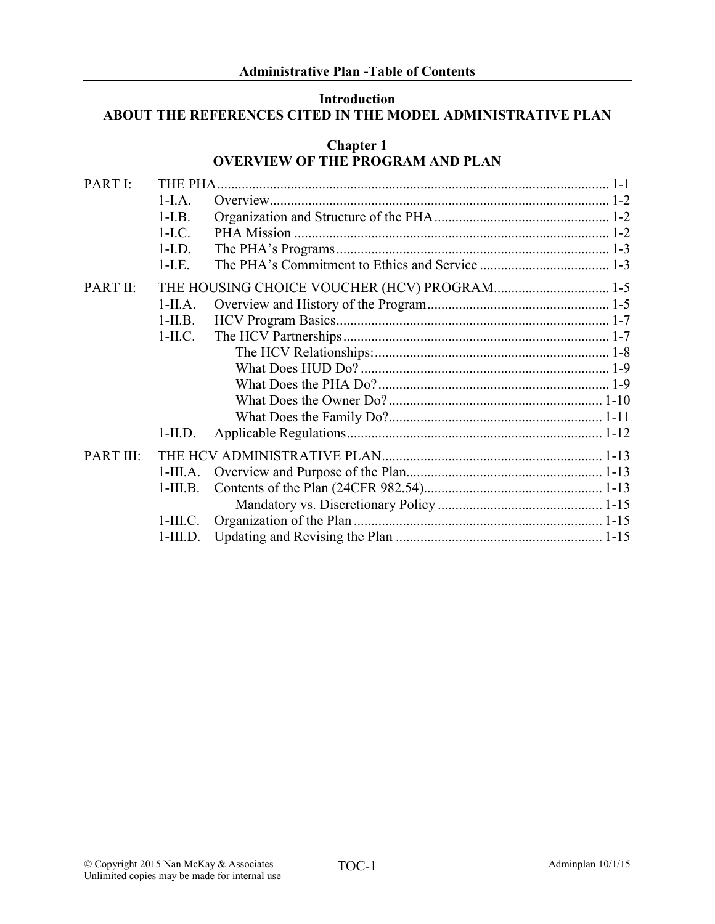## Introduction ABOUT THE REFERENCES CITED IN THE MODEL ADMINISTRATIVE PLAN

|           |            | <b>Chapter 1</b><br><b>OVERVIEW OF THE PROGRAM AND PLAN</b> |  |
|-----------|------------|-------------------------------------------------------------|--|
| PART I:   | THE PHA.   |                                                             |  |
|           | $1-I.A.$   |                                                             |  |
|           | $1-I.B.$   |                                                             |  |
|           | $1-I.C.$   |                                                             |  |
|           | $1-I.D.$   |                                                             |  |
|           | $1-I.E.$   |                                                             |  |
| PART II:  |            | THE HOUSING CHOICE VOUCHER (HCV) PROGRAM 1-5                |  |
|           | $1-IIA$ .  |                                                             |  |
|           | $1-II.B.$  |                                                             |  |
|           | $1-III.C.$ |                                                             |  |
|           |            |                                                             |  |
|           |            |                                                             |  |
|           |            |                                                             |  |
|           |            |                                                             |  |
|           |            |                                                             |  |
|           | $1-II.D.$  |                                                             |  |
| PART III: |            |                                                             |  |
|           | $1-III.A.$ |                                                             |  |
|           | $1-III.B.$ |                                                             |  |
|           |            |                                                             |  |
|           | $1-III.C.$ |                                                             |  |
|           | $1-III.D.$ |                                                             |  |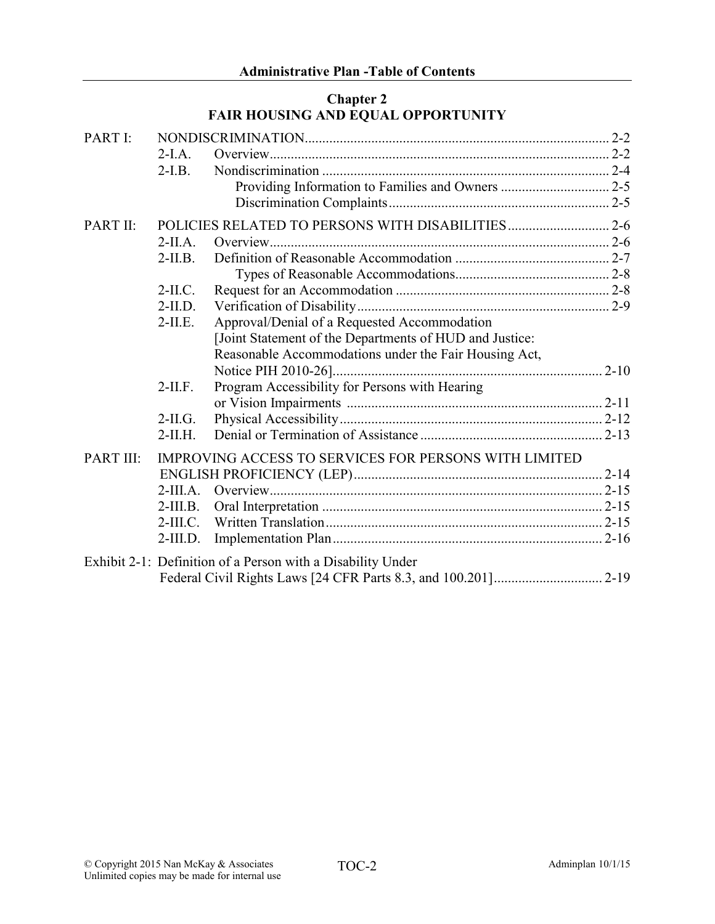# Chapter 2 FAIR HOUSING AND EQUAL OPPORTUNITY

| PART I:         |            |                                                             |  |
|-----------------|------------|-------------------------------------------------------------|--|
|                 | $2-I.A.$   |                                                             |  |
|                 | $2-I.B.$   |                                                             |  |
|                 |            |                                                             |  |
|                 |            |                                                             |  |
| <b>PART II:</b> |            |                                                             |  |
|                 | $2-IIA$ .  |                                                             |  |
|                 | $2-II.B.$  |                                                             |  |
|                 |            |                                                             |  |
|                 | $2-IL$ C.  |                                                             |  |
|                 | $2-II.D.$  |                                                             |  |
|                 | $2-II.E.$  | Approval/Denial of a Requested Accommodation                |  |
|                 |            | [Joint Statement of the Departments of HUD and Justice:     |  |
|                 |            | Reasonable Accommodations under the Fair Housing Act,       |  |
|                 |            |                                                             |  |
|                 | $2-II.F.$  | Program Accessibility for Persons with Hearing              |  |
|                 |            |                                                             |  |
|                 | $2-IL$ G.  |                                                             |  |
|                 | $2-II.H.$  |                                                             |  |
| PART III:       |            | IMPROVING ACCESS TO SERVICES FOR PERSONS WITH LIMITED       |  |
|                 |            |                                                             |  |
|                 | $2-III.A.$ |                                                             |  |
|                 | $2-III.B.$ |                                                             |  |
|                 | $2-III.C.$ |                                                             |  |
|                 | $2-III.D.$ |                                                             |  |
|                 |            | Exhibit 2-1: Definition of a Person with a Disability Under |  |
|                 |            |                                                             |  |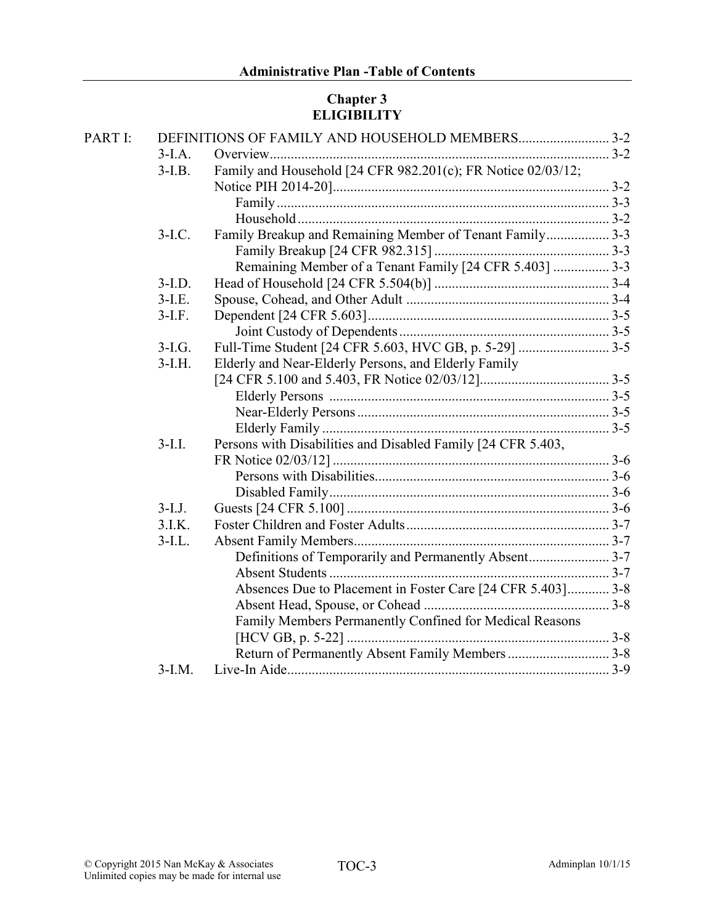# Chapter 3 ELIGIBILITY

| PART I: |           |                                                              |  |
|---------|-----------|--------------------------------------------------------------|--|
|         | $3-I.A.$  |                                                              |  |
|         | $3-I.B.$  | Family and Household [24 CFR 982.201(c); FR Notice 02/03/12; |  |
|         |           |                                                              |  |
|         |           |                                                              |  |
|         |           |                                                              |  |
|         | $3-I.C.$  | Family Breakup and Remaining Member of Tenant Family 3-3     |  |
|         |           |                                                              |  |
|         |           | Remaining Member of a Tenant Family [24 CFR 5.403]  3-3      |  |
|         | $3-I.D.$  |                                                              |  |
|         | $3-I.E.$  |                                                              |  |
|         | $3-I.F.$  |                                                              |  |
|         |           |                                                              |  |
|         | $3-I.G.$  |                                                              |  |
|         | $3-I.H.$  | Elderly and Near-Elderly Persons, and Elderly Family         |  |
|         |           |                                                              |  |
|         |           |                                                              |  |
|         |           |                                                              |  |
|         |           |                                                              |  |
|         | $3-I.I.$  | Persons with Disabilities and Disabled Family [24 CFR 5.403, |  |
|         |           |                                                              |  |
|         |           |                                                              |  |
|         |           |                                                              |  |
|         | $3-I.J.$  |                                                              |  |
|         | 3.I.K.    |                                                              |  |
|         | $3$ -I.L. |                                                              |  |
|         |           | Definitions of Temporarily and Permanently Absent3-7         |  |
|         |           |                                                              |  |
|         |           | Absences Due to Placement in Foster Care [24 CFR 5.403] 3-8  |  |
|         |           |                                                              |  |
|         |           | Family Members Permanently Confined for Medical Reasons      |  |
|         |           |                                                              |  |
|         |           | Return of Permanently Absent Family Members  3-8             |  |
|         | $3-I.M.$  |                                                              |  |
|         |           |                                                              |  |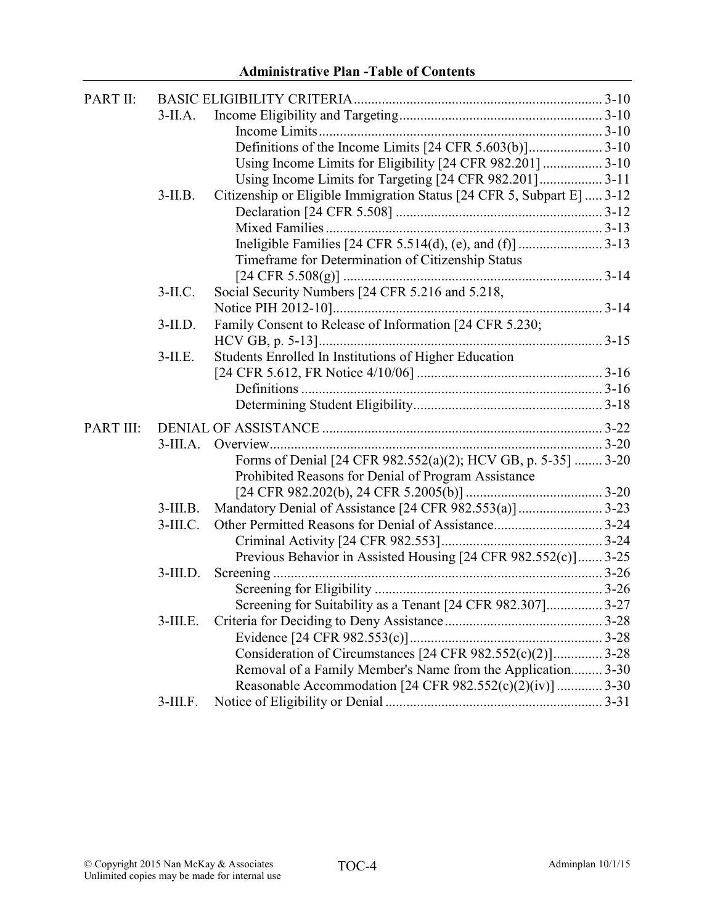| PART II:  |             |                                                                        |  |
|-----------|-------------|------------------------------------------------------------------------|--|
|           | $3$ -II.A.  |                                                                        |  |
|           |             |                                                                        |  |
|           |             |                                                                        |  |
|           |             |                                                                        |  |
|           |             | Using Income Limits for Targeting [24 CFR 982.201] 3-11                |  |
|           | $3-II.B.$   | Citizenship or Eligible Immigration Status [24 CFR 5, Subpart E]  3-12 |  |
|           |             |                                                                        |  |
|           |             |                                                                        |  |
|           |             |                                                                        |  |
|           |             | Timeframe for Determination of Citizenship Status                      |  |
|           |             |                                                                        |  |
|           | $3-II.C.$   | Social Security Numbers [24 CFR 5.216 and 5.218,                       |  |
|           |             |                                                                        |  |
|           | $3-II.D.$   | Family Consent to Release of Information [24 CFR 5.230;                |  |
|           |             |                                                                        |  |
|           | $3$ -II.E.  | Students Enrolled In Institutions of Higher Education                  |  |
|           |             |                                                                        |  |
|           |             |                                                                        |  |
|           |             |                                                                        |  |
| PART III: |             |                                                                        |  |
|           | $3-III.A.$  |                                                                        |  |
|           |             | Forms of Denial [24 CFR 982.552(a)(2); HCV GB, p. 5-35]  3-20          |  |
|           |             | Prohibited Reasons for Denial of Program Assistance                    |  |
|           |             |                                                                        |  |
|           | $3$ -III.B. |                                                                        |  |
|           | $3$ -III.C. |                                                                        |  |
|           |             |                                                                        |  |
|           |             | Previous Behavior in Assisted Housing [24 CFR 982.552(c)] 3-25         |  |
|           | $3$ -III.D. |                                                                        |  |
|           |             |                                                                        |  |
|           |             | Screening for Suitability as a Tenant [24 CFR 982.307] 3-27            |  |
|           | $3$ -III.E. |                                                                        |  |
|           |             |                                                                        |  |
|           |             | Consideration of Circumstances [24 CFR 982.552(c)(2)] 3-28             |  |
|           |             | Removal of a Family Member's Name from the Application 3-30            |  |
|           |             | Reasonable Accommodation [24 CFR 982.552(c)(2)(iv)]  3-30              |  |
|           | $3$ -III.F. |                                                                        |  |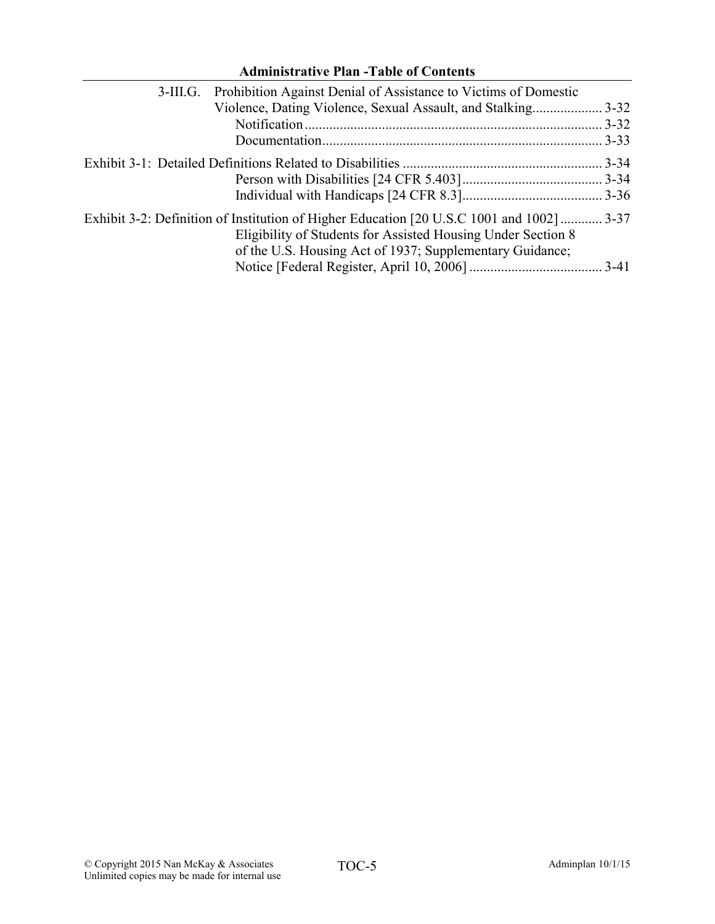| <b>Administrative Plan -Table of Contents</b>                                                                                                                                                                         |           |  |
|-----------------------------------------------------------------------------------------------------------------------------------------------------------------------------------------------------------------------|-----------|--|
| Prohibition Against Denial of Assistance to Victims of Domestic<br>$3-III.G.$                                                                                                                                         |           |  |
| Violence, Dating Violence, Sexual Assault, and Stalking3-32                                                                                                                                                           |           |  |
|                                                                                                                                                                                                                       |           |  |
|                                                                                                                                                                                                                       | $.3 - 33$ |  |
|                                                                                                                                                                                                                       |           |  |
|                                                                                                                                                                                                                       |           |  |
|                                                                                                                                                                                                                       |           |  |
| Exhibit 3-2: Definition of Institution of Higher Education [20 U.S.C 1001 and 1002]  3-37<br>Eligibility of Students for Assisted Housing Under Section 8<br>of the U.S. Housing Act of 1937; Supplementary Guidance; |           |  |
|                                                                                                                                                                                                                       |           |  |

#### © Copyright 2015 Nan McKay & Associates  $TOC-5$  Adminimilan 10/1/15 Unlimited copies may be made for internal use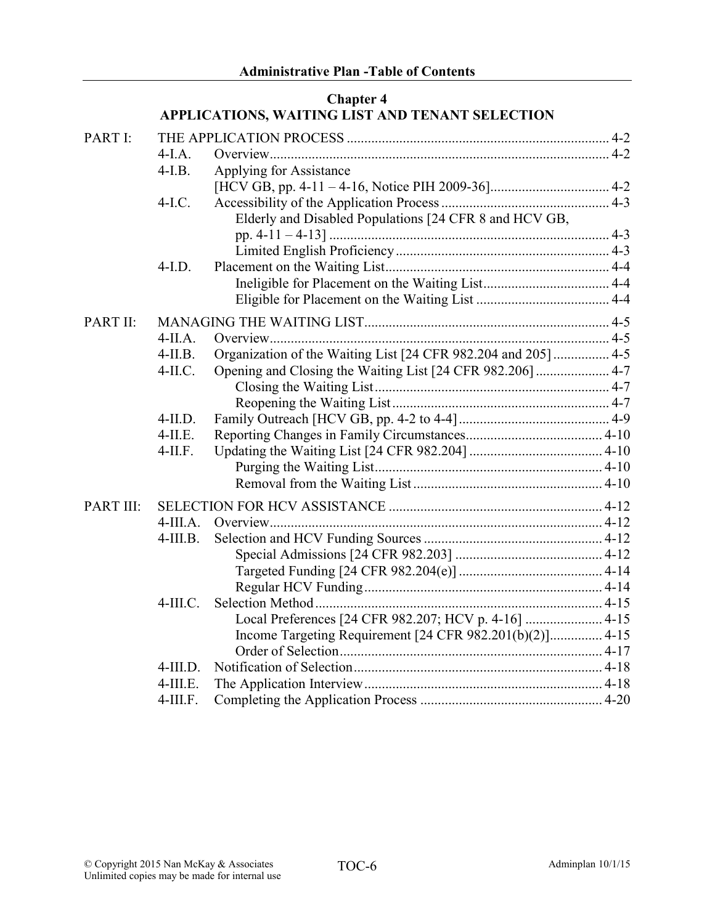# Chapter 4 APPLICATIONS, WAITING LIST AND TENANT SELECTION PART I: THE APPLICATION PROCESS ........................................................................... 4-2 4-I.A. Overview................................................................................................. 4-2 4-I.B. Applying for Assistance [HCV GB, pp. 4-11 – 4-16, Notice PIH 2009-36].................................. 4-2 4-I.C. Accessibility of the Application Process................................................ 4-3 Elderly and Disabled Populations [24 CFR 8 and HCV GB, pp. 4-11 – 4-13] ................................................................................ 4-3 Limited English Proficiency............................................................. 4-3 4-I.D. Placement on the Waiting List................................................................ 4-4 Ineligible for Placement on the Waiting List.................................... 4-4 Eligible for Placement on the Waiting List ...................................... 4-4 PART II: MANAGING THE WAITING LIST...................................................................... 4-5 4-II.A. Overview................................................................................................. 4-5 4-II.B. Organization of the Waiting List [24 CFR 982.204 and 205]................ 4-5 4-II.C. Opening and Closing the Waiting List [24 CFR 982.206]..................... 4-7 Closing the Waiting List................................................................... 4-7 Reopening the Waiting List.............................................................. 4-7 4-II.D. Family Outreach [HCV GB, pp. 4-2 to 4-4]........................................... 4-9 4-II.E. Reporting Changes in Family Circumstances....................................... 4-10 4-II.F. Updating the Waiting List [24 CFR 982.204] ...................................... 4-10 Purging the Waiting List................................................................. 4-10 Removal from the Waiting List ...................................................... 4-10 PART III: SELECTION FOR HCV ASSISTANCE ............................................................. 4-12 4-III.A. Overview............................................................................................... 4-12 4-III.B. Selection and HCV Funding Sources................................................... 4-12 Special Admissions [24 CFR 982.203] .......................................... 4-12 Targeted Funding [24 CFR 982.204(e)]......................................... 4-14 Regular HCV Funding.................................................................... 4-14 4-III.C. Selection Method.................................................................................. 4-15 Local Preferences [24 CFR 982.207; HCV p. 4-16] ...................... 4-15 Income Targeting Requirement [24 CFR 982.201(b)(2)]............... 4-15 Order of Selection........................................................................... 4-17 4-III.D. Notification of Selection....................................................................... 4-18

4-III.E. The Application Interview.................................................................... 4-18 4-III.F. Completing the Application Process .................................................... 4-20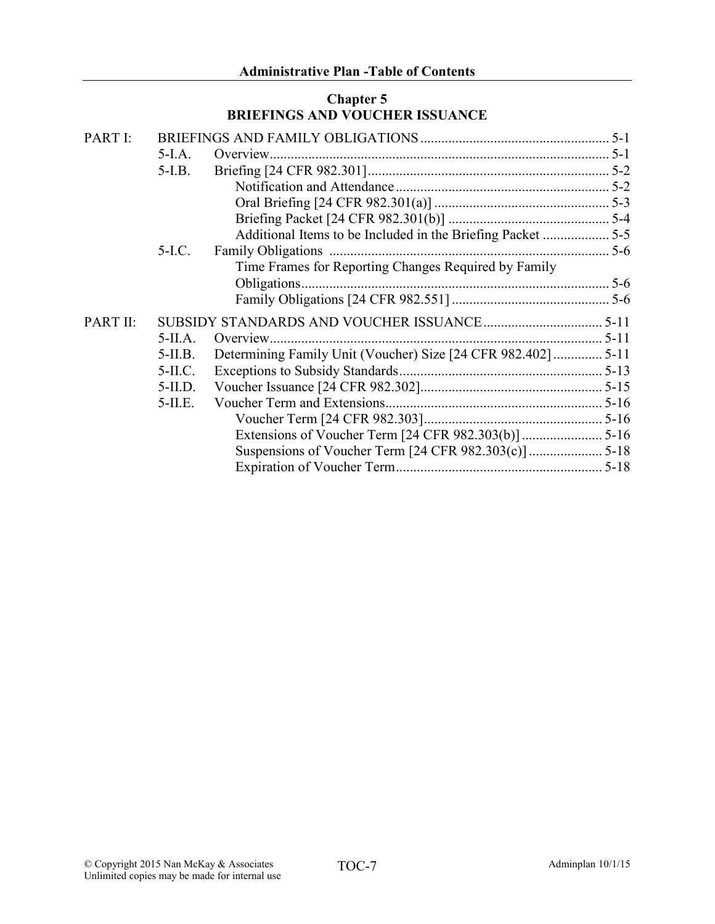# Chapter 5 BRIEFINGS AND VOUCHER ISSUANCE

| PART I:  |            |                                                      |  |
|----------|------------|------------------------------------------------------|--|
|          | $5-I.A.$   |                                                      |  |
|          | $5-I.B.$   |                                                      |  |
|          |            |                                                      |  |
|          |            |                                                      |  |
|          |            |                                                      |  |
|          |            |                                                      |  |
|          | $5-I.C.$   |                                                      |  |
|          |            | Time Frames for Reporting Changes Required by Family |  |
|          |            |                                                      |  |
|          |            |                                                      |  |
| PART II: |            |                                                      |  |
|          | $5-II.A.$  |                                                      |  |
|          | $5-II.B.$  |                                                      |  |
|          | $5-II.C.$  |                                                      |  |
|          | $5-II.D.$  |                                                      |  |
|          | $5$ -II.E. |                                                      |  |
|          |            |                                                      |  |
|          |            |                                                      |  |
|          |            |                                                      |  |
|          |            |                                                      |  |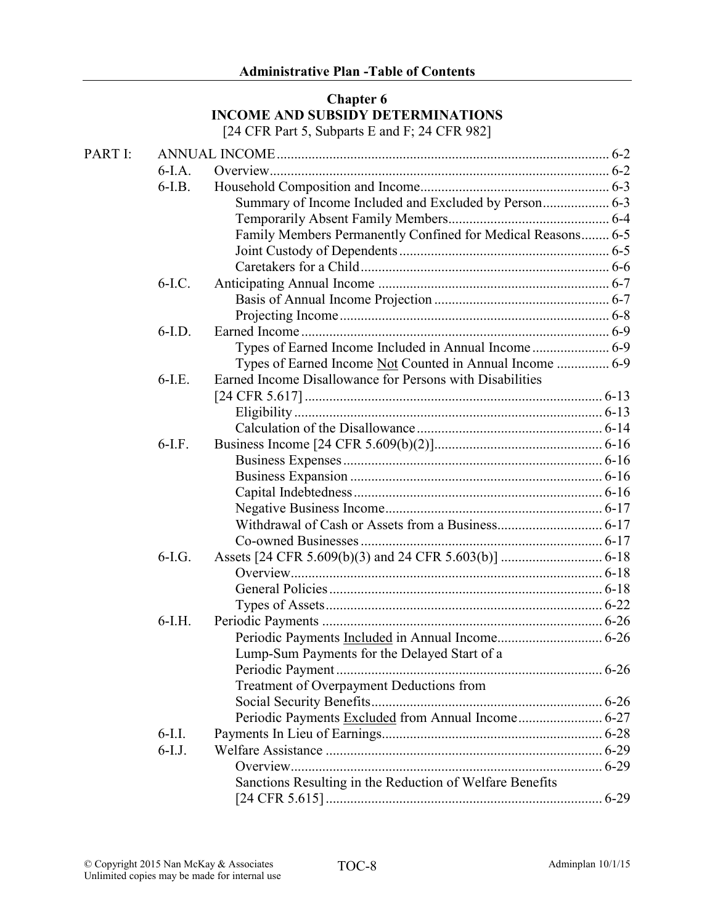#### Chapter 6 INCOME AND SUBSIDY DETERMINATIONS [24 CFR Part 5, Subparts E and F; 24 CFR 982]

| PART I: |          |                                                             |  |
|---------|----------|-------------------------------------------------------------|--|
|         | $6-I.A.$ |                                                             |  |
|         | $6-I.B.$ |                                                             |  |
|         |          | Summary of Income Included and Excluded by Person 6-3       |  |
|         |          |                                                             |  |
|         |          | Family Members Permanently Confined for Medical Reasons 6-5 |  |
|         |          |                                                             |  |
|         |          |                                                             |  |
|         | $6-I.C.$ |                                                             |  |
|         |          |                                                             |  |
|         |          |                                                             |  |
|         | $6-I.D.$ |                                                             |  |
|         |          |                                                             |  |
|         |          | Types of Earned Income Not Counted in Annual Income  6-9    |  |
|         | $6-I.E.$ | Earned Income Disallowance for Persons with Disabilities    |  |
|         |          |                                                             |  |
|         |          |                                                             |  |
|         |          |                                                             |  |
|         | $6-I.F.$ |                                                             |  |
|         |          |                                                             |  |
|         |          |                                                             |  |
|         |          |                                                             |  |
|         |          |                                                             |  |
|         |          |                                                             |  |
|         |          |                                                             |  |
|         | $6-I.G.$ |                                                             |  |
|         |          |                                                             |  |
|         |          |                                                             |  |
|         |          |                                                             |  |
|         | $6-I.H.$ |                                                             |  |
|         |          |                                                             |  |
|         |          | Lump-Sum Payments for the Delayed Start of a                |  |
|         |          |                                                             |  |
|         |          | Treatment of Overpayment Deductions from                    |  |
|         |          |                                                             |  |
|         |          |                                                             |  |
|         | $6-I.I.$ |                                                             |  |
|         | $6-I.J.$ |                                                             |  |
|         |          |                                                             |  |
|         |          | Sanctions Resulting in the Reduction of Welfare Benefits    |  |
|         |          |                                                             |  |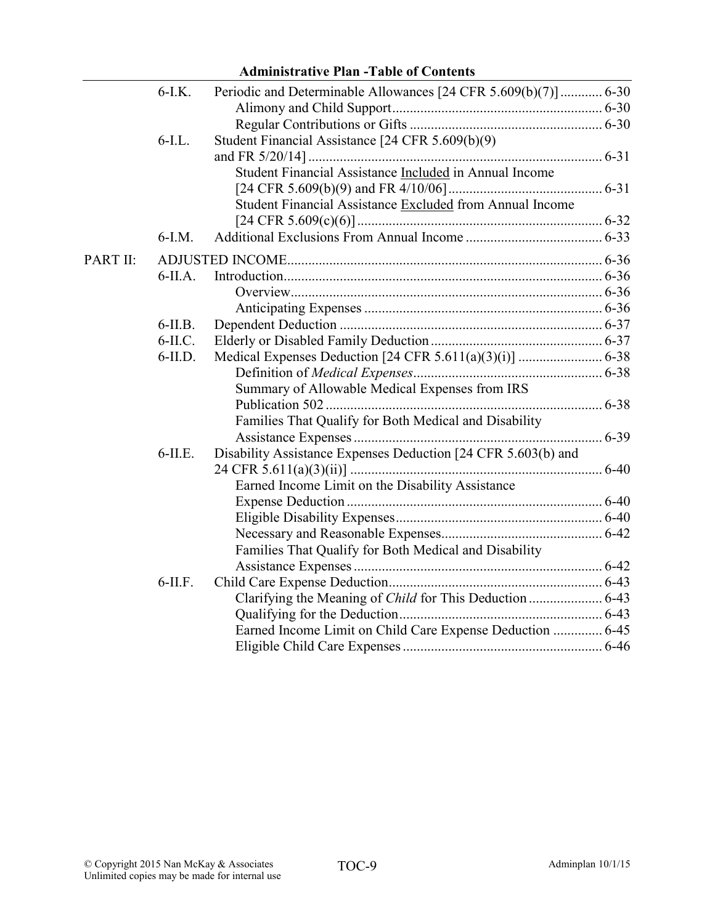|          |            | иншын айус 1 кm -1 арк от Conwins                               |  |
|----------|------------|-----------------------------------------------------------------|--|
|          | $6-I.K.$   | Periodic and Determinable Allowances [24 CFR 5.609(b)(7)]  6-30 |  |
|          |            |                                                                 |  |
|          |            |                                                                 |  |
|          | $6$ -I.L.  | Student Financial Assistance [24 CFR 5.609(b)(9)                |  |
|          |            |                                                                 |  |
|          |            | Student Financial Assistance Included in Annual Income          |  |
|          |            |                                                                 |  |
|          |            | Student Financial Assistance Excluded from Annual Income        |  |
|          |            |                                                                 |  |
|          | $6-I.M.$   |                                                                 |  |
| PART II: |            |                                                                 |  |
|          | $6$ -II.A. |                                                                 |  |
|          |            |                                                                 |  |
|          |            |                                                                 |  |
|          | $6$ -II.B. |                                                                 |  |
|          | $6-II.C.$  |                                                                 |  |
|          | $6$ -II.D. |                                                                 |  |
|          |            |                                                                 |  |
|          |            | Summary of Allowable Medical Expenses from IRS                  |  |
|          |            |                                                                 |  |
|          |            | Families That Qualify for Both Medical and Disability           |  |
|          |            |                                                                 |  |
|          | $6$ -II.E. | Disability Assistance Expenses Deduction [24 CFR 5.603(b) and   |  |
|          |            |                                                                 |  |
|          |            | Earned Income Limit on the Disability Assistance                |  |
|          |            |                                                                 |  |
|          |            |                                                                 |  |
|          |            |                                                                 |  |
|          |            | Families That Qualify for Both Medical and Disability           |  |
|          |            |                                                                 |  |
|          | $6$ -II.F. |                                                                 |  |
|          |            |                                                                 |  |
|          |            |                                                                 |  |
|          |            | Earned Income Limit on Child Care Expense Deduction  6-45       |  |
|          |            |                                                                 |  |
|          |            |                                                                 |  |

# Administrative Plan -Table of Contents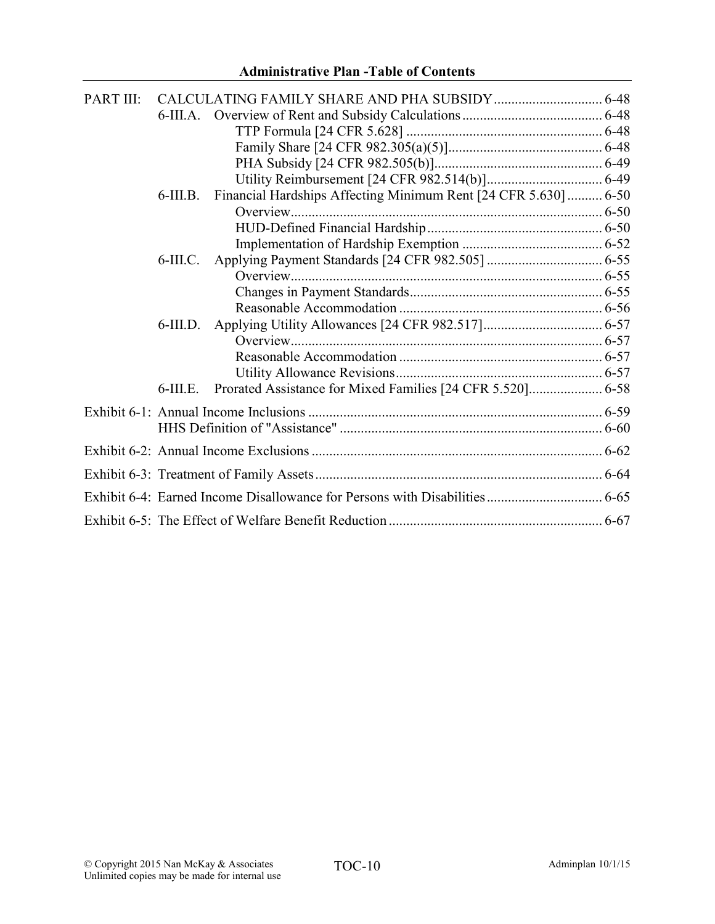| <b>PART III:</b> |             |                                                                 |  |
|------------------|-------------|-----------------------------------------------------------------|--|
|                  |             |                                                                 |  |
|                  |             |                                                                 |  |
|                  |             |                                                                 |  |
|                  |             |                                                                 |  |
|                  |             |                                                                 |  |
|                  | $6$ -III.B. | Financial Hardships Affecting Minimum Rent [24 CFR 5.630]  6-50 |  |
|                  |             |                                                                 |  |
|                  |             |                                                                 |  |
|                  |             |                                                                 |  |
|                  | $6$ -III.C. |                                                                 |  |
|                  |             |                                                                 |  |
|                  |             |                                                                 |  |
|                  |             |                                                                 |  |
|                  | $6$ -III.D. |                                                                 |  |
|                  |             |                                                                 |  |
|                  |             |                                                                 |  |
|                  |             |                                                                 |  |
|                  | $6$ -III.E. |                                                                 |  |
|                  |             |                                                                 |  |
|                  |             |                                                                 |  |
|                  |             |                                                                 |  |
|                  |             |                                                                 |  |
|                  |             |                                                                 |  |
|                  |             |                                                                 |  |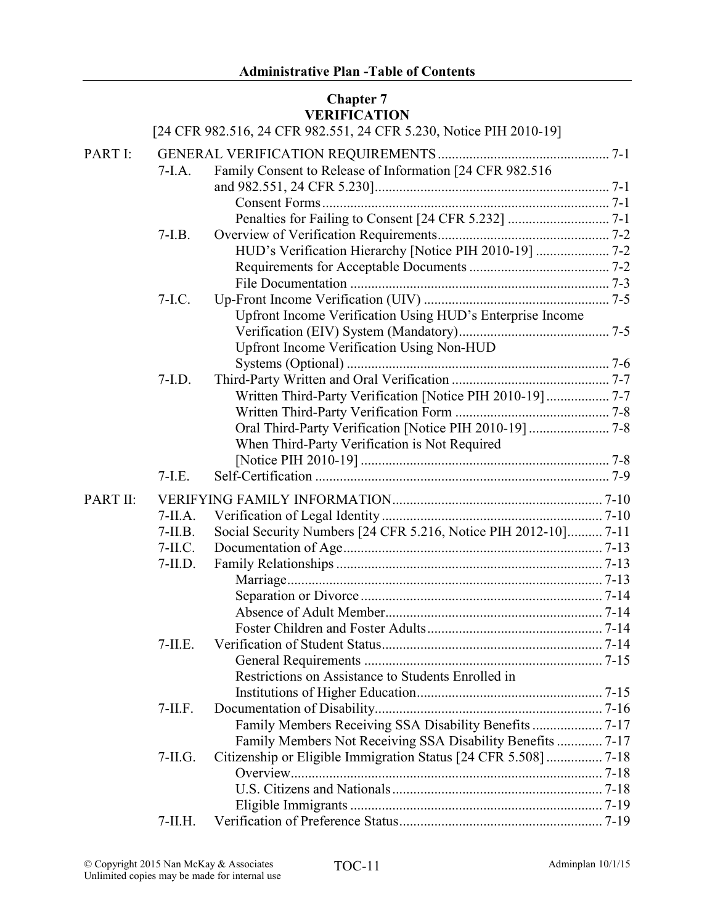# Chapter 7 VERIFICATION

|          |           | [24 CFR 982.516, 24 CFR 982.551, 24 CFR 5.230, Notice PIH 2010-19] |  |
|----------|-----------|--------------------------------------------------------------------|--|
| PART I:  |           |                                                                    |  |
|          | $7-I.A.$  | Family Consent to Release of Information [24 CFR 982.516           |  |
|          |           |                                                                    |  |
|          |           |                                                                    |  |
|          |           |                                                                    |  |
|          | $7-I.B.$  |                                                                    |  |
|          |           | HUD's Verification Hierarchy [Notice PIH 2010-19]  7-2             |  |
|          |           |                                                                    |  |
|          |           |                                                                    |  |
|          | $7-I.C.$  |                                                                    |  |
|          |           | Upfront Income Verification Using HUD's Enterprise Income          |  |
|          |           |                                                                    |  |
|          |           | <b>Upfront Income Verification Using Non-HUD</b>                   |  |
|          |           |                                                                    |  |
|          | $7-I.D.$  |                                                                    |  |
|          |           | Written Third-Party Verification [Notice PIH 2010-19]  7-7         |  |
|          |           |                                                                    |  |
|          |           |                                                                    |  |
|          |           | When Third-Party Verification is Not Required                      |  |
|          |           |                                                                    |  |
|          | $7-I.E.$  |                                                                    |  |
| PART II: |           |                                                                    |  |
|          | $7-IIA.$  |                                                                    |  |
|          | $7-II.B.$ | Social Security Numbers [24 CFR 5.216, Notice PIH 2012-10] 7-11    |  |
|          | $7-II.C.$ |                                                                    |  |
|          | $7-II.D.$ |                                                                    |  |
|          |           |                                                                    |  |
|          |           |                                                                    |  |
|          |           |                                                                    |  |
|          |           |                                                                    |  |
|          | $7-II.E.$ |                                                                    |  |
|          |           |                                                                    |  |
|          |           | Restrictions on Assistance to Students Enrolled in                 |  |
|          |           |                                                                    |  |
|          | $7-II.F.$ |                                                                    |  |
|          |           | Family Members Receiving SSA Disability Benefits  7-17             |  |
|          |           | Family Members Not Receiving SSA Disability Benefits  7-17         |  |
|          | $7-ILG.$  |                                                                    |  |
|          |           |                                                                    |  |
|          |           |                                                                    |  |
|          |           |                                                                    |  |
|          | $7-II.H.$ |                                                                    |  |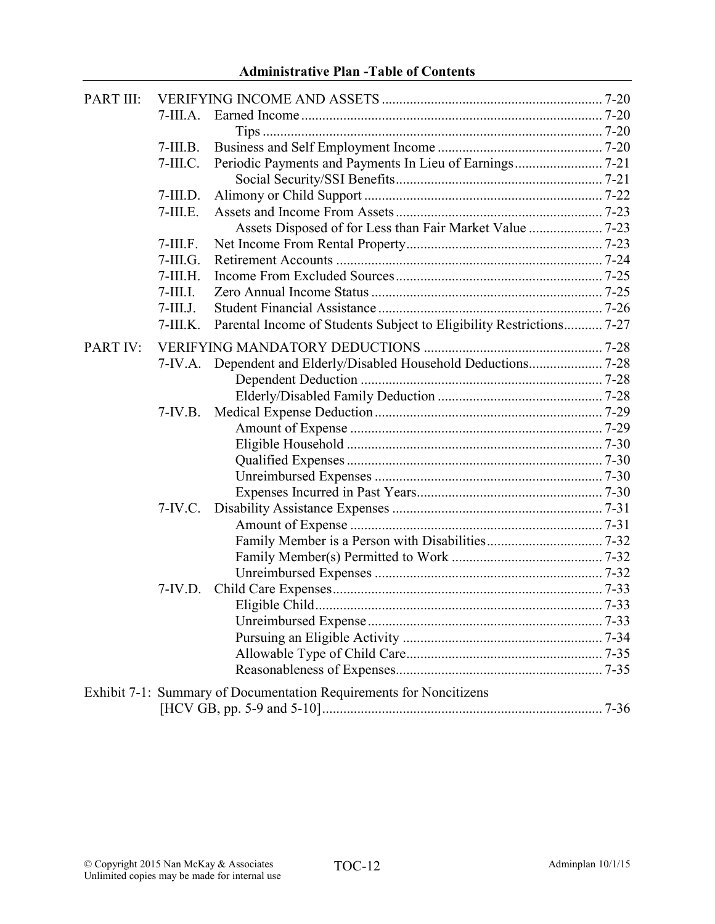| PART III: |                 |                                                                      |  |
|-----------|-----------------|----------------------------------------------------------------------|--|
|           | $7-III.A.$      |                                                                      |  |
|           |                 |                                                                      |  |
|           | $7$ -III.B.     |                                                                      |  |
|           | $7$ -III.C.     |                                                                      |  |
|           |                 |                                                                      |  |
|           | $7$ -III.D.     |                                                                      |  |
|           | $7$ -III.E.     |                                                                      |  |
|           |                 |                                                                      |  |
|           | $7-III.F.$      |                                                                      |  |
|           | $7$ -III. $G$ . |                                                                      |  |
|           | $7$ -III.H.     |                                                                      |  |
|           | $7$ -III.I.     |                                                                      |  |
|           | $7$ -III.J.     |                                                                      |  |
|           | $7$ -III.K.     | Parental Income of Students Subject to Eligibility Restrictions 7-27 |  |
| PART IV:  |                 |                                                                      |  |
|           |                 |                                                                      |  |
|           |                 |                                                                      |  |
|           |                 |                                                                      |  |
|           | $7-IV.B.$       |                                                                      |  |
|           |                 |                                                                      |  |
|           |                 |                                                                      |  |
|           |                 |                                                                      |  |
|           |                 |                                                                      |  |
|           |                 |                                                                      |  |
|           | $7-IV.C.$       |                                                                      |  |
|           |                 |                                                                      |  |
|           |                 |                                                                      |  |
|           |                 |                                                                      |  |
|           |                 |                                                                      |  |
|           | $7-IV.D.$       |                                                                      |  |
|           |                 |                                                                      |  |
|           |                 |                                                                      |  |
|           |                 |                                                                      |  |
|           |                 |                                                                      |  |
|           |                 |                                                                      |  |
|           |                 | Exhibit 7-1: Summary of Documentation Requirements for Noncitizens   |  |
|           |                 |                                                                      |  |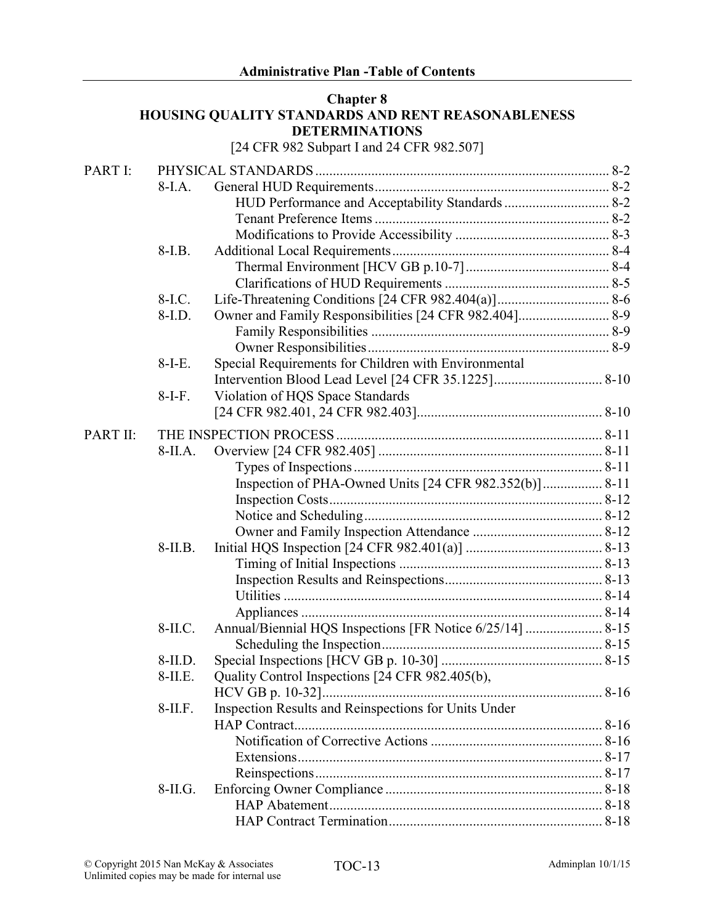#### Chapter 8 HOUSING QUALITY STANDARDS AND RENT REASONABLENESS DETERMINATIONS

[24 CFR 982 Subpart I and 24 CFR 982.507]

| PART I:  |            |                                                      |  |
|----------|------------|------------------------------------------------------|--|
|          | $8-I.A.$   |                                                      |  |
|          |            | HUD Performance and Acceptability Standards  8-2     |  |
|          |            |                                                      |  |
|          |            |                                                      |  |
|          | $8-I.B.$   |                                                      |  |
|          |            |                                                      |  |
|          |            |                                                      |  |
|          | $8-I.C.$   |                                                      |  |
|          | $8-I.D.$   |                                                      |  |
|          |            |                                                      |  |
|          |            |                                                      |  |
|          | $8-I-E$ .  | Special Requirements for Children with Environmental |  |
|          |            |                                                      |  |
|          | $8-I-F.$   | Violation of HQS Space Standards                     |  |
|          |            |                                                      |  |
| PART II: |            |                                                      |  |
|          | $8-IIA.$   |                                                      |  |
|          |            |                                                      |  |
|          |            |                                                      |  |
|          |            |                                                      |  |
|          |            |                                                      |  |
|          |            |                                                      |  |
|          | $8-II.B.$  |                                                      |  |
|          |            |                                                      |  |
|          |            |                                                      |  |
|          |            |                                                      |  |
|          |            |                                                      |  |
|          | $8-II.C.$  |                                                      |  |
|          |            |                                                      |  |
|          | $8-II.D.$  |                                                      |  |
|          | $8-II.E.$  | Quality Control Inspections [24 CFR 982.405(b),      |  |
|          |            |                                                      |  |
|          | $8$ -II.F. | Inspection Results and Reinspections for Units Under |  |
|          |            |                                                      |  |
|          |            |                                                      |  |
|          |            |                                                      |  |
|          |            |                                                      |  |
|          | $8-II.G.$  |                                                      |  |
|          |            |                                                      |  |
|          |            |                                                      |  |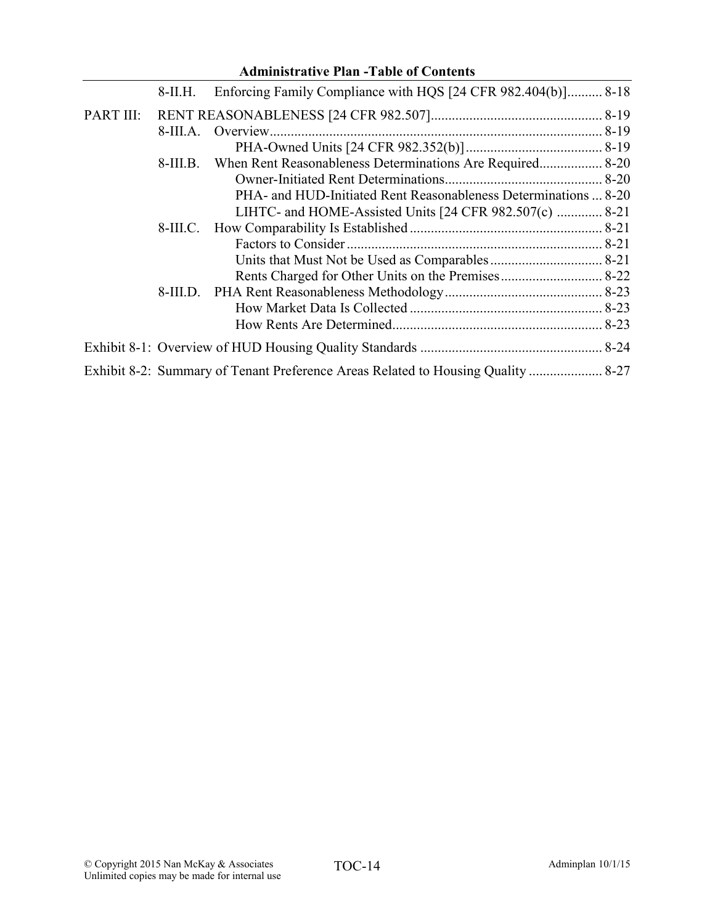|           |            | <b>Administrative Plan -Table of Contents</b>                                    |  |
|-----------|------------|----------------------------------------------------------------------------------|--|
|           | 8-II.H.    | Enforcing Family Compliance with HQS [24 CFR 982.404(b)] 8-18                    |  |
| PART III: |            |                                                                                  |  |
|           | $8-III.A.$ | Overview                                                                         |  |
|           |            |                                                                                  |  |
|           | $8-III.B.$ |                                                                                  |  |
|           |            |                                                                                  |  |
|           |            | PHA- and HUD-Initiated Rent Reasonableness Determinations  8-20                  |  |
|           |            | LIHTC- and HOME-Assisted Units [24 CFR 982.507(c)  8-21                          |  |
|           |            |                                                                                  |  |
|           |            |                                                                                  |  |
|           |            |                                                                                  |  |
|           |            |                                                                                  |  |
|           |            |                                                                                  |  |
|           |            |                                                                                  |  |
|           |            |                                                                                  |  |
|           |            |                                                                                  |  |
|           |            | Exhibit 8-2: Summary of Tenant Preference Areas Related to Housing Quality  8-27 |  |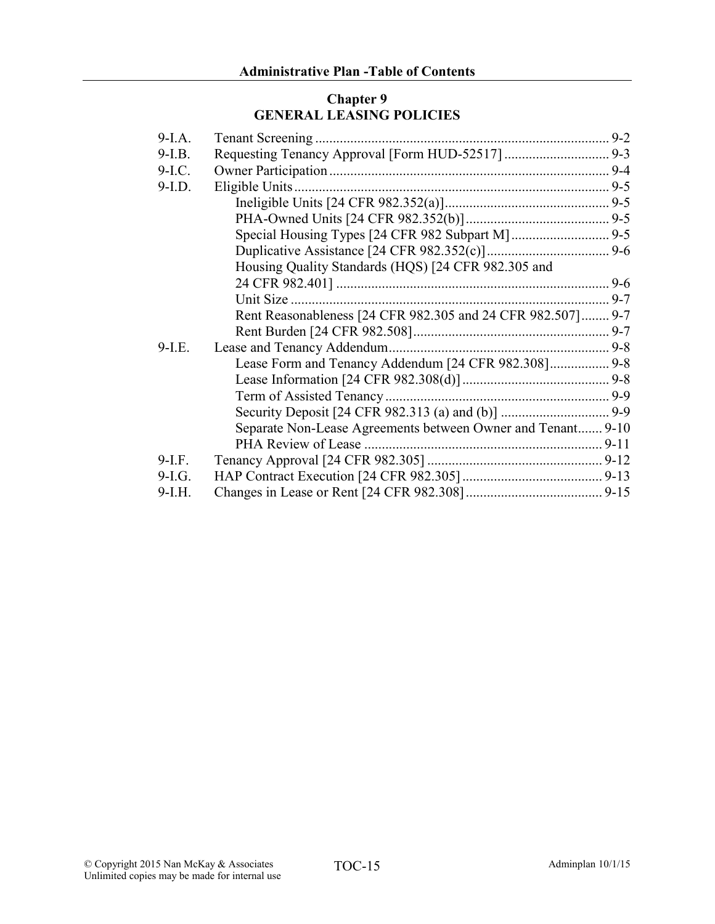## Chapter 9 GENERAL LEASING POLICIES

| $9-I.A.$ |                                                             |  |
|----------|-------------------------------------------------------------|--|
| $9-I.B.$ |                                                             |  |
| $9-I.C.$ |                                                             |  |
| $9-I.D.$ |                                                             |  |
|          |                                                             |  |
|          |                                                             |  |
|          |                                                             |  |
|          |                                                             |  |
|          | Housing Quality Standards (HQS) [24 CFR 982.305 and         |  |
|          |                                                             |  |
|          |                                                             |  |
|          | Rent Reasonableness [24 CFR 982.305 and 24 CFR 982.507] 9-7 |  |
|          |                                                             |  |
| $9-I.E.$ |                                                             |  |
|          | Lease Form and Tenancy Addendum [24 CFR 982.308] 9-8        |  |
|          |                                                             |  |
|          |                                                             |  |
|          |                                                             |  |
|          | Separate Non-Lease Agreements between Owner and Tenant 9-10 |  |
|          |                                                             |  |
| $9-I.F.$ |                                                             |  |
| 9-I.G.   |                                                             |  |
| $9-I.H.$ |                                                             |  |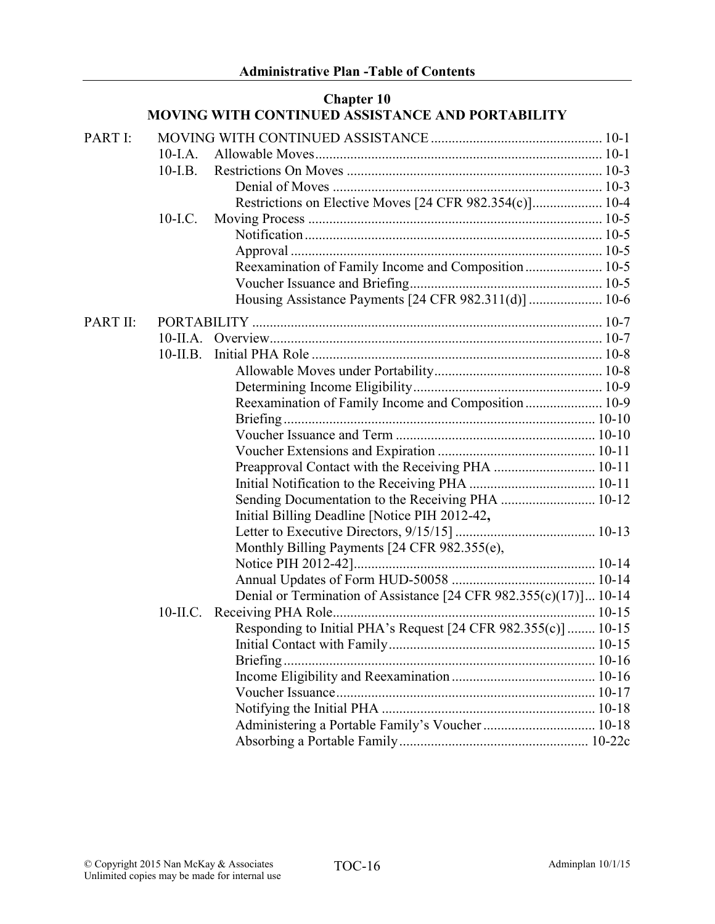|                 |             | <b>Chapter 10</b><br>MOVING WITH CONTINUED ASSISTANCE AND PORTABILITY |  |
|-----------------|-------------|-----------------------------------------------------------------------|--|
| PART I:         |             |                                                                       |  |
|                 | $10-I.A.$   |                                                                       |  |
|                 | $10-I.B.$   |                                                                       |  |
|                 |             |                                                                       |  |
|                 |             |                                                                       |  |
|                 | $10-LC$ .   |                                                                       |  |
|                 |             |                                                                       |  |
|                 |             |                                                                       |  |
|                 |             | Reexamination of Family Income and Composition  10-5                  |  |
|                 |             |                                                                       |  |
|                 |             |                                                                       |  |
| <b>PART II:</b> |             |                                                                       |  |
|                 |             |                                                                       |  |
|                 | $10$ -II.B. |                                                                       |  |
|                 |             |                                                                       |  |
|                 |             |                                                                       |  |
|                 |             | Reexamination of Family Income and Composition  10-9                  |  |
|                 |             |                                                                       |  |
|                 |             |                                                                       |  |
|                 |             |                                                                       |  |
|                 |             |                                                                       |  |
|                 |             |                                                                       |  |
|                 |             |                                                                       |  |
|                 |             | Initial Billing Deadline [Notice PIH 2012-42,                         |  |
|                 |             |                                                                       |  |
|                 |             | Monthly Billing Payments [24 CFR 982.355(e),                          |  |
|                 |             |                                                                       |  |
|                 |             |                                                                       |  |
|                 |             | Denial or Termination of Assistance [24 CFR 982.355(c)(17)] 10-14     |  |
|                 | $10$ -II.C. |                                                                       |  |
|                 |             | Responding to Initial PHA's Request [24 CFR 982.355(c)]  10-15        |  |
|                 |             |                                                                       |  |
|                 |             |                                                                       |  |
|                 |             |                                                                       |  |
|                 |             |                                                                       |  |
|                 |             |                                                                       |  |
|                 |             |                                                                       |  |
|                 |             |                                                                       |  |

#### © Copyright 2015 Nan McKay & Associates  $TOC-16$  Adminimilan 10/1/15 Unlimited copies may be made for internal use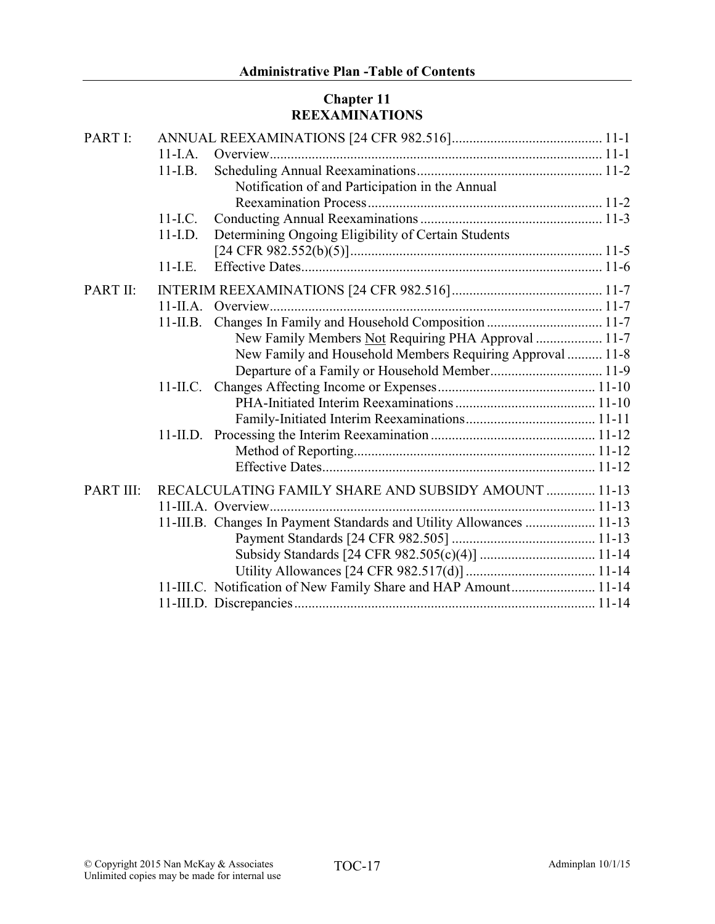# Chapter 11 REEXAMINATIONS

| PART I:   |             |                                                                      |  |
|-----------|-------------|----------------------------------------------------------------------|--|
|           | $11-I.A.$   |                                                                      |  |
|           | $11-LB$ .   |                                                                      |  |
|           |             | Notification of and Participation in the Annual                      |  |
|           |             |                                                                      |  |
|           | $11-LC$ .   |                                                                      |  |
|           | $11-I.D.$   | Determining Ongoing Eligibility of Certain Students                  |  |
|           |             |                                                                      |  |
|           | $11-LE$ .   |                                                                      |  |
| PART II:  |             |                                                                      |  |
|           | $11$ -II.A. |                                                                      |  |
|           | $11$ -II.B. |                                                                      |  |
|           |             | New Family Members Not Requiring PHA Approval  11-7                  |  |
|           |             | New Family and Household Members Requiring Approval  11-8            |  |
|           |             |                                                                      |  |
|           |             |                                                                      |  |
|           |             |                                                                      |  |
|           |             |                                                                      |  |
|           |             |                                                                      |  |
|           |             |                                                                      |  |
|           |             |                                                                      |  |
| PART III: |             | RECALCULATING FAMILY SHARE AND SUBSIDY AMOUNT  11-13                 |  |
|           |             |                                                                      |  |
|           |             | 11-III.B. Changes In Payment Standards and Utility Allowances  11-13 |  |
|           |             |                                                                      |  |
|           |             |                                                                      |  |
|           |             |                                                                      |  |
|           |             | 11-III.C. Notification of New Family Share and HAP Amount 11-14      |  |
|           |             |                                                                      |  |
|           |             |                                                                      |  |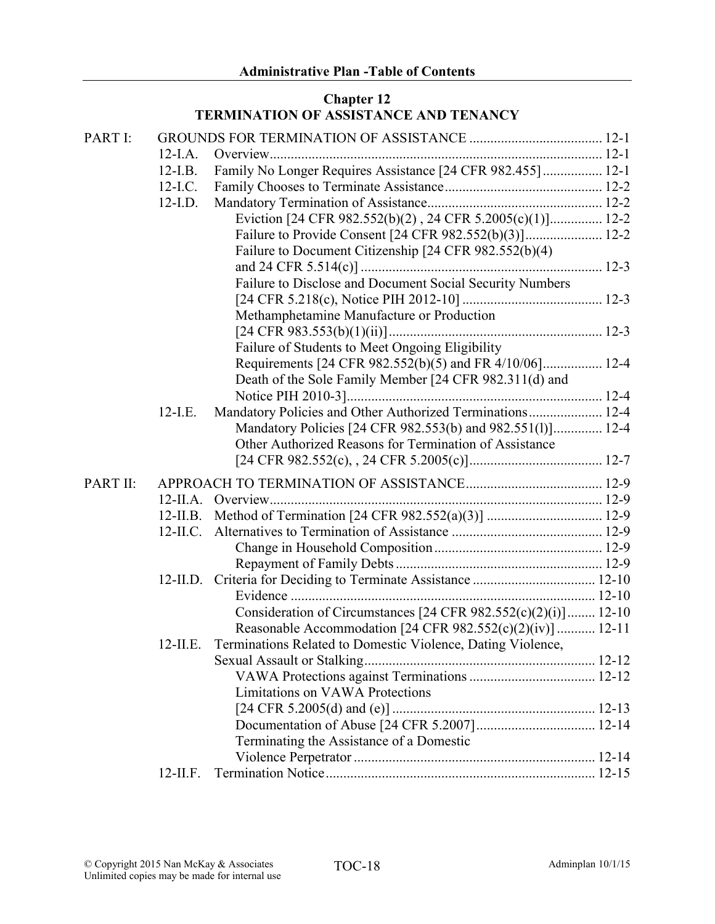# Chapter 12 TERMINATION OF ASSISTANCE AND TENANCY

| PART I:  |             |                                                                   |  |
|----------|-------------|-------------------------------------------------------------------|--|
|          | $12-I.A.$   |                                                                   |  |
|          | $12-I.B.$   | Family No Longer Requires Assistance [24 CFR 982.455]  12-1       |  |
|          | $12-I.C.$   |                                                                   |  |
|          | $12$ -I.D.  |                                                                   |  |
|          |             | Eviction [24 CFR 982.552(b)(2), 24 CFR 5.2005(c)(1)] 12-2         |  |
|          |             |                                                                   |  |
|          |             | Failure to Document Citizenship [24 CFR 982.552(b)(4)             |  |
|          |             |                                                                   |  |
|          |             | Failure to Disclose and Document Social Security Numbers          |  |
|          |             |                                                                   |  |
|          |             | Methamphetamine Manufacture or Production                         |  |
|          |             |                                                                   |  |
|          |             | Failure of Students to Meet Ongoing Eligibility                   |  |
|          |             | Requirements [24 CFR 982.552(b)(5) and FR 4/10/06] 12-4           |  |
|          |             | Death of the Sole Family Member [24 CFR 982.311(d) and            |  |
|          |             |                                                                   |  |
|          | $12$ -I.E.  | Mandatory Policies and Other Authorized Terminations 12-4         |  |
|          |             | Mandatory Policies [24 CFR 982.553(b) and 982.551(l)] 12-4        |  |
|          |             | Other Authorized Reasons for Termination of Assistance            |  |
|          |             |                                                                   |  |
| PART II: |             |                                                                   |  |
|          |             |                                                                   |  |
|          | $12$ -II.B. |                                                                   |  |
|          | $12$ -II.C. |                                                                   |  |
|          |             |                                                                   |  |
|          |             |                                                                   |  |
|          |             |                                                                   |  |
|          |             |                                                                   |  |
|          |             | Consideration of Circumstances [24 CFR $982.552(c)(2)(i)$ ] 12-10 |  |
|          |             | Reasonable Accommodation [24 CFR 982.552(c)(2)(iv)]  12-11        |  |
|          | $12$ -II.E. | Terminations Related to Domestic Violence, Dating Violence,       |  |
|          |             |                                                                   |  |
|          |             |                                                                   |  |
|          |             | <b>Limitations on VAWA Protections</b>                            |  |
|          |             |                                                                   |  |
|          |             |                                                                   |  |
|          |             | Terminating the Assistance of a Domestic                          |  |
|          |             |                                                                   |  |
|          | $12$ -II.F. |                                                                   |  |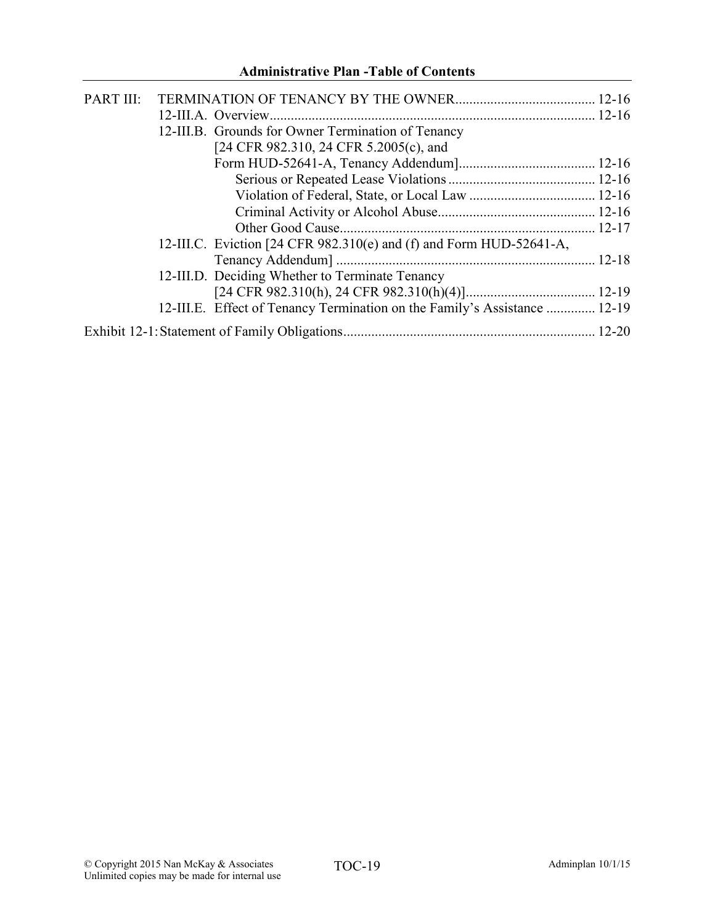# Administrative Plan -Table of Contents

| PART III: |                                                                           |  |
|-----------|---------------------------------------------------------------------------|--|
|           |                                                                           |  |
|           | 12-III.B. Grounds for Owner Termination of Tenancy                        |  |
|           | [24 CFR 982.310, 24 CFR 5.2005(c), and                                    |  |
|           |                                                                           |  |
|           |                                                                           |  |
|           |                                                                           |  |
|           |                                                                           |  |
|           |                                                                           |  |
|           | 12-III.C. Eviction [24 CFR 982.310(e) and (f) and Form HUD-52641-A,       |  |
|           |                                                                           |  |
|           | 12-III.D. Deciding Whether to Terminate Tenancy                           |  |
|           |                                                                           |  |
|           | 12-III.E. Effect of Tenancy Termination on the Family's Assistance  12-19 |  |
|           |                                                                           |  |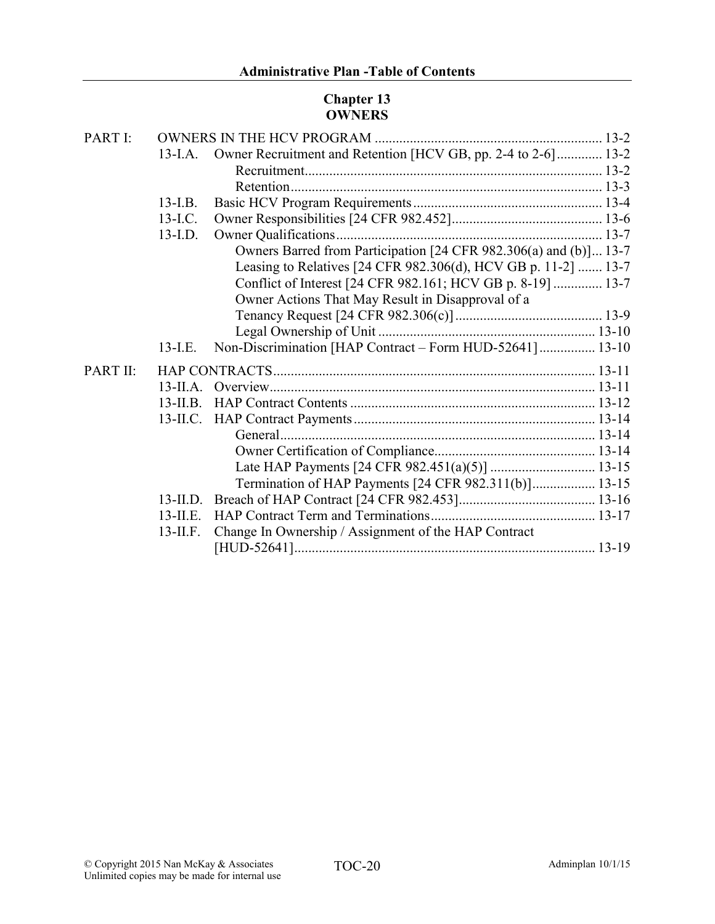# Chapter 13 OWNERS

| 13-I.A.     |                                                      |                                                                                                                                                                                                                                                                                                                                                                                                                        |
|-------------|------------------------------------------------------|------------------------------------------------------------------------------------------------------------------------------------------------------------------------------------------------------------------------------------------------------------------------------------------------------------------------------------------------------------------------------------------------------------------------|
|             |                                                      |                                                                                                                                                                                                                                                                                                                                                                                                                        |
|             |                                                      |                                                                                                                                                                                                                                                                                                                                                                                                                        |
| $13$ -I.B.  |                                                      |                                                                                                                                                                                                                                                                                                                                                                                                                        |
| $13$ -I.C.  |                                                      |                                                                                                                                                                                                                                                                                                                                                                                                                        |
| $13$ -I.D.  |                                                      |                                                                                                                                                                                                                                                                                                                                                                                                                        |
|             |                                                      |                                                                                                                                                                                                                                                                                                                                                                                                                        |
|             |                                                      |                                                                                                                                                                                                                                                                                                                                                                                                                        |
|             |                                                      |                                                                                                                                                                                                                                                                                                                                                                                                                        |
|             | Owner Actions That May Result in Disapproval of a    |                                                                                                                                                                                                                                                                                                                                                                                                                        |
|             |                                                      |                                                                                                                                                                                                                                                                                                                                                                                                                        |
|             |                                                      |                                                                                                                                                                                                                                                                                                                                                                                                                        |
| $13-LE$ .   |                                                      |                                                                                                                                                                                                                                                                                                                                                                                                                        |
|             |                                                      |                                                                                                                                                                                                                                                                                                                                                                                                                        |
|             |                                                      |                                                                                                                                                                                                                                                                                                                                                                                                                        |
| $13$ -II.B. |                                                      |                                                                                                                                                                                                                                                                                                                                                                                                                        |
|             |                                                      |                                                                                                                                                                                                                                                                                                                                                                                                                        |
|             |                                                      |                                                                                                                                                                                                                                                                                                                                                                                                                        |
|             |                                                      |                                                                                                                                                                                                                                                                                                                                                                                                                        |
|             |                                                      |                                                                                                                                                                                                                                                                                                                                                                                                                        |
|             |                                                      |                                                                                                                                                                                                                                                                                                                                                                                                                        |
|             |                                                      |                                                                                                                                                                                                                                                                                                                                                                                                                        |
| $13$ -II.E. |                                                      |                                                                                                                                                                                                                                                                                                                                                                                                                        |
| $13$ -II.F. | Change In Ownership / Assignment of the HAP Contract |                                                                                                                                                                                                                                                                                                                                                                                                                        |
|             |                                                      |                                                                                                                                                                                                                                                                                                                                                                                                                        |
|             |                                                      | Owner Recruitment and Retention [HCV GB, pp. 2-4 to 2-6] 13-2<br>Owners Barred from Participation [24 CFR 982.306(a) and (b)] 13-7<br>Leasing to Relatives [24 CFR 982.306(d), HCV GB p. 11-2]  13-7<br>Conflict of Interest [24 CFR 982.161; HCV GB p. 8-19]  13-7<br>Non-Discrimination [HAP Contract - Form HUD-52641] 13-10<br>$13$ -II.A.<br>Termination of HAP Payments [24 CFR 982.311(b)] 13-15<br>$13$ -II.D. |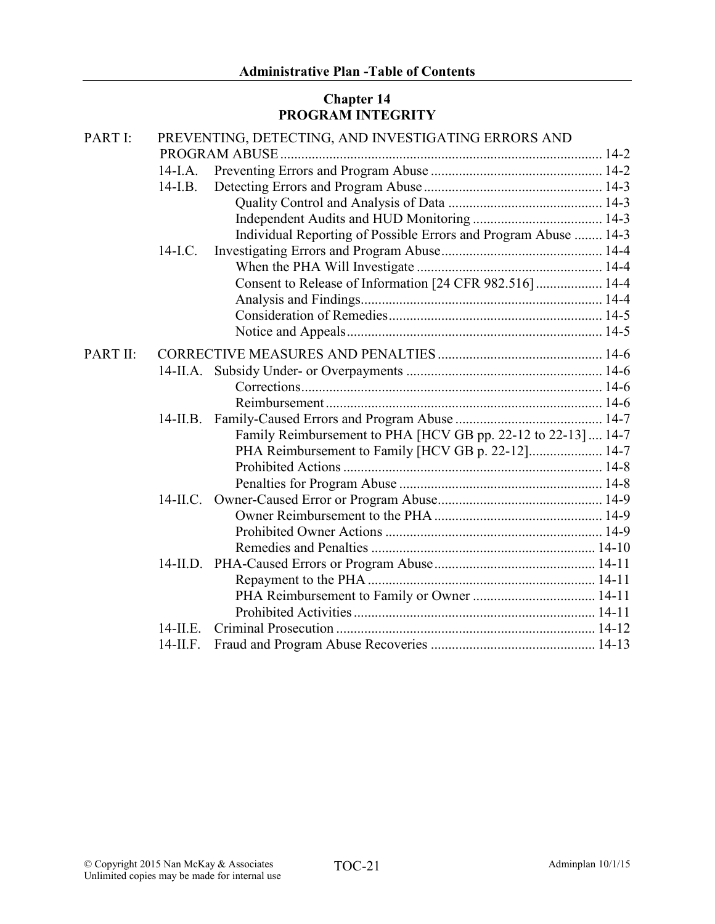# Chapter 14 PROGRAM INTEGRITY

| PART I:  |             | PREVENTING, DETECTING, AND INVESTIGATING ERRORS AND             |  |
|----------|-------------|-----------------------------------------------------------------|--|
|          |             |                                                                 |  |
|          | $14$ -I.A.  |                                                                 |  |
|          | $14-I.B.$   |                                                                 |  |
|          |             |                                                                 |  |
|          |             |                                                                 |  |
|          |             | Individual Reporting of Possible Errors and Program Abuse  14-3 |  |
|          | $14$ -I.C.  |                                                                 |  |
|          |             |                                                                 |  |
|          |             | Consent to Release of Information [24 CFR 982.516]  14-4        |  |
|          |             |                                                                 |  |
|          |             |                                                                 |  |
|          |             |                                                                 |  |
| PART II: |             |                                                                 |  |
|          |             |                                                                 |  |
|          |             |                                                                 |  |
|          |             |                                                                 |  |
|          | $14$ -II.B. |                                                                 |  |
|          |             | Family Reimbursement to PHA [HCV GB pp. 22-12 to 22-13]  14-7   |  |
|          |             | PHA Reimbursement to Family [HCV GB p. 22-12] 14-7              |  |
|          |             |                                                                 |  |
|          |             |                                                                 |  |
|          |             |                                                                 |  |
|          |             |                                                                 |  |
|          |             |                                                                 |  |
|          |             |                                                                 |  |
|          |             |                                                                 |  |
|          |             |                                                                 |  |
|          |             |                                                                 |  |
|          |             |                                                                 |  |
|          | 14-II E     |                                                                 |  |
|          | $14$ -II.F. |                                                                 |  |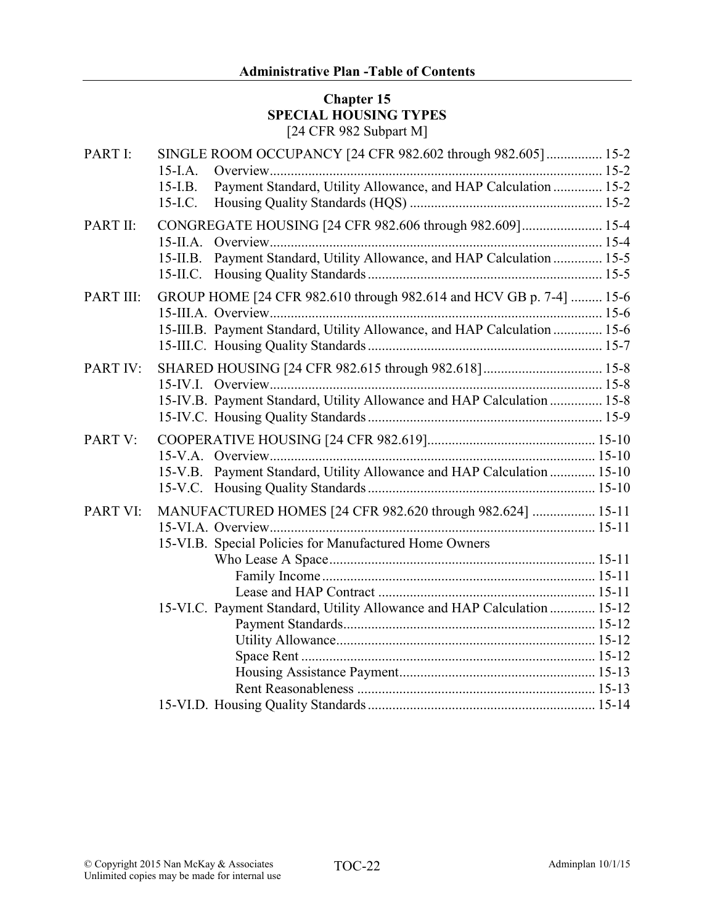#### Chapter 15 SPECIAL HOUSING TYPES [24 CFR 982 Subpart M]

| PART I:   | SINGLE ROOM OCCUPANCY [24 CFR 982.602 through 982.605] 15-2                   |  |
|-----------|-------------------------------------------------------------------------------|--|
|           | $15$ -I.A.                                                                    |  |
|           | Payment Standard, Utility Allowance, and HAP Calculation  15-2<br>$15$ -I.B.  |  |
|           | $15$ -I.C.                                                                    |  |
| PART II:  | CONGREGATE HOUSING [24 CFR 982.606 through 982.609] 15-4                      |  |
|           |                                                                               |  |
|           | Payment Standard, Utility Allowance, and HAP Calculation  15-5<br>$15$ -II.B. |  |
|           |                                                                               |  |
| PART III: | GROUP HOME [24 CFR 982.610 through 982.614 and HCV GB p. 7-4]  15-6           |  |
|           |                                                                               |  |
|           | 15-III.B. Payment Standard, Utility Allowance, and HAP Calculation  15-6      |  |
|           |                                                                               |  |
| PART IV:  |                                                                               |  |
|           |                                                                               |  |
|           | 15-IV.B. Payment Standard, Utility Allowance and HAP Calculation  15-8        |  |
|           |                                                                               |  |
| PART V:   |                                                                               |  |
|           |                                                                               |  |
|           | Payment Standard, Utility Allowance and HAP Calculation  15-10<br>$15-V.B.$   |  |
|           |                                                                               |  |
| PART VI:  | MANUFACTURED HOMES [24 CFR 982.620 through 982.624]  15-11                    |  |
|           |                                                                               |  |
|           | 15-VI.B. Special Policies for Manufactured Home Owners                        |  |
|           |                                                                               |  |
|           |                                                                               |  |
|           |                                                                               |  |
|           | 15-VI.C. Payment Standard, Utility Allowance and HAP Calculation  15-12       |  |
|           |                                                                               |  |
|           |                                                                               |  |
|           |                                                                               |  |
|           |                                                                               |  |
|           |                                                                               |  |
|           |                                                                               |  |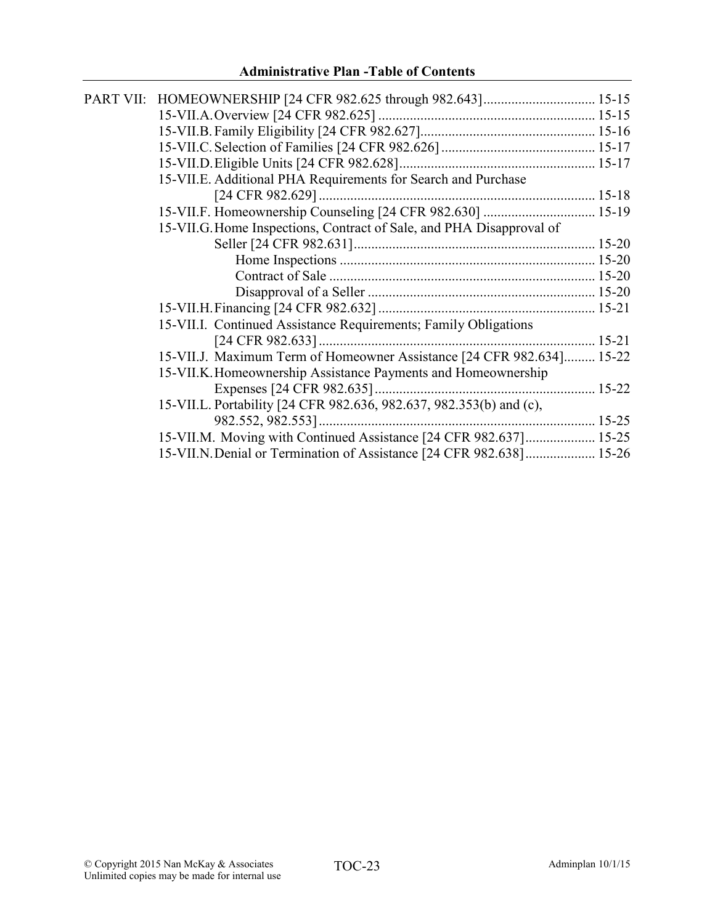| 15-VII.E. Additional PHA Requirements for Search and Purchase         |  |
|-----------------------------------------------------------------------|--|
|                                                                       |  |
| 15-VII.F. Homeownership Counseling [24 CFR 982.630]  15-19            |  |
| 15-VII.G. Home Inspections, Contract of Sale, and PHA Disapproval of  |  |
|                                                                       |  |
|                                                                       |  |
|                                                                       |  |
|                                                                       |  |
|                                                                       |  |
| 15-VII.I. Continued Assistance Requirements; Family Obligations       |  |
|                                                                       |  |
| 15-VII.J. Maximum Term of Homeowner Assistance [24 CFR 982.634] 15-22 |  |
| 15-VII.K. Homeownership Assistance Payments and Homeownership         |  |
|                                                                       |  |
| 15-VII.L. Portability [24 CFR 982.636, 982.637, 982.353(b) and (c),   |  |
|                                                                       |  |
| 15-VII.M. Moving with Continued Assistance [24 CFR 982.637] 15-25     |  |
| 15-VII.N. Denial or Termination of Assistance [24 CFR 982.638] 15-26  |  |
|                                                                       |  |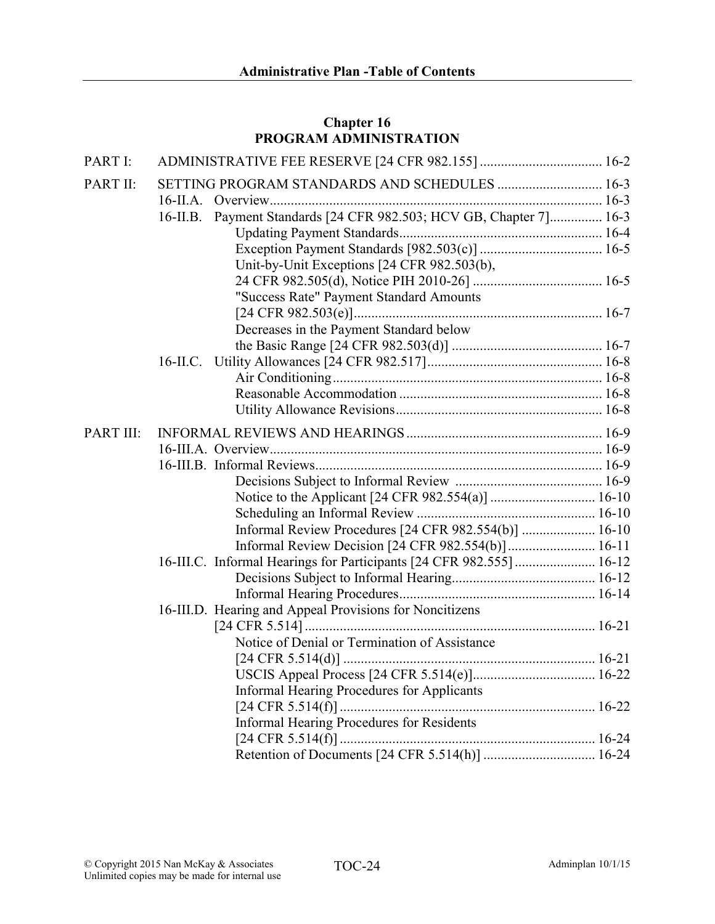# Chapter 16 PROGRAM ADMINISTRATION

| PART I:   |                                                                     |  |
|-----------|---------------------------------------------------------------------|--|
| PART II:  | SETTING PROGRAM STANDARDS AND SCHEDULES  16-3                       |  |
|           |                                                                     |  |
|           | 16-II.B. Payment Standards [24 CFR 982.503; HCV GB, Chapter 7] 16-3 |  |
|           |                                                                     |  |
|           |                                                                     |  |
|           | Unit-by-Unit Exceptions [24 CFR 982.503(b),                         |  |
|           |                                                                     |  |
|           | "Success Rate" Payment Standard Amounts                             |  |
|           |                                                                     |  |
|           | Decreases in the Payment Standard below                             |  |
|           |                                                                     |  |
|           |                                                                     |  |
|           |                                                                     |  |
|           |                                                                     |  |
|           |                                                                     |  |
| PART III: |                                                                     |  |
|           |                                                                     |  |
|           |                                                                     |  |
|           |                                                                     |  |
|           |                                                                     |  |
|           |                                                                     |  |
|           | Informal Review Procedures [24 CFR 982.554(b)]  16-10               |  |
|           | Informal Review Decision [24 CFR 982.554(b)] 16-11                  |  |
|           | 16-III.C. Informal Hearings for Participants [24 CFR 982.555] 16-12 |  |
|           |                                                                     |  |
|           |                                                                     |  |
|           | 16-III.D. Hearing and Appeal Provisions for Noncitizens             |  |
|           |                                                                     |  |
|           | Notice of Denial or Termination of Assistance                       |  |
|           |                                                                     |  |
|           |                                                                     |  |
|           | <b>Informal Hearing Procedures for Applicants</b>                   |  |
|           |                                                                     |  |
|           | <b>Informal Hearing Procedures for Residents</b>                    |  |
|           |                                                                     |  |
|           |                                                                     |  |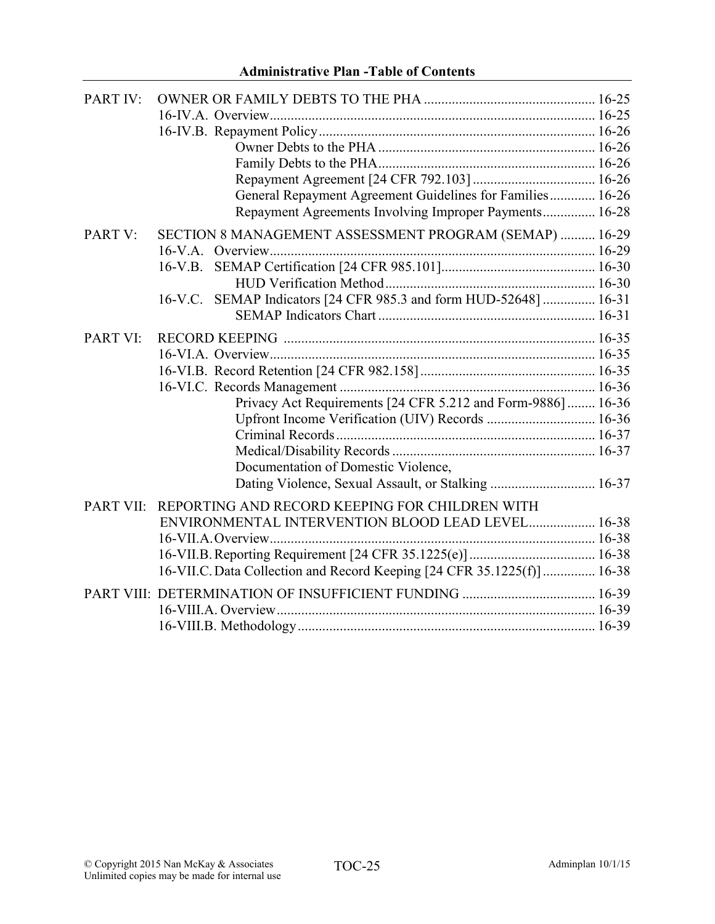| PART IV:         |                                                                        |  |
|------------------|------------------------------------------------------------------------|--|
|                  |                                                                        |  |
|                  |                                                                        |  |
|                  |                                                                        |  |
|                  |                                                                        |  |
|                  |                                                                        |  |
|                  | General Repayment Agreement Guidelines for Families 16-26              |  |
|                  | Repayment Agreements Involving Improper Payments 16-28                 |  |
| PART V:          | SECTION 8 MANAGEMENT ASSESSMENT PROGRAM (SEMAP)  16-29                 |  |
|                  |                                                                        |  |
|                  |                                                                        |  |
|                  |                                                                        |  |
|                  | 16-V.C. SEMAP Indicators [24 CFR 985.3 and form HUD-52648]  16-31      |  |
|                  |                                                                        |  |
| PART VI:         |                                                                        |  |
|                  |                                                                        |  |
|                  |                                                                        |  |
|                  |                                                                        |  |
|                  | Privacy Act Requirements [24 CFR 5.212 and Form-9886]  16-36           |  |
|                  | Upfront Income Verification (UIV) Records  16-36                       |  |
|                  |                                                                        |  |
|                  |                                                                        |  |
|                  | Documentation of Domestic Violence,                                    |  |
|                  | Dating Violence, Sexual Assault, or Stalking  16-37                    |  |
| <b>PART VII:</b> | REPORTING AND RECORD KEEPING FOR CHILDREN WITH                         |  |
|                  | ENVIRONMENTAL INTERVENTION BLOOD LEAD LEVEL 16-38                      |  |
|                  |                                                                        |  |
|                  |                                                                        |  |
|                  | 16-VII.C. Data Collection and Record Keeping [24 CFR 35.1225(f)] 16-38 |  |
|                  |                                                                        |  |
|                  |                                                                        |  |
|                  |                                                                        |  |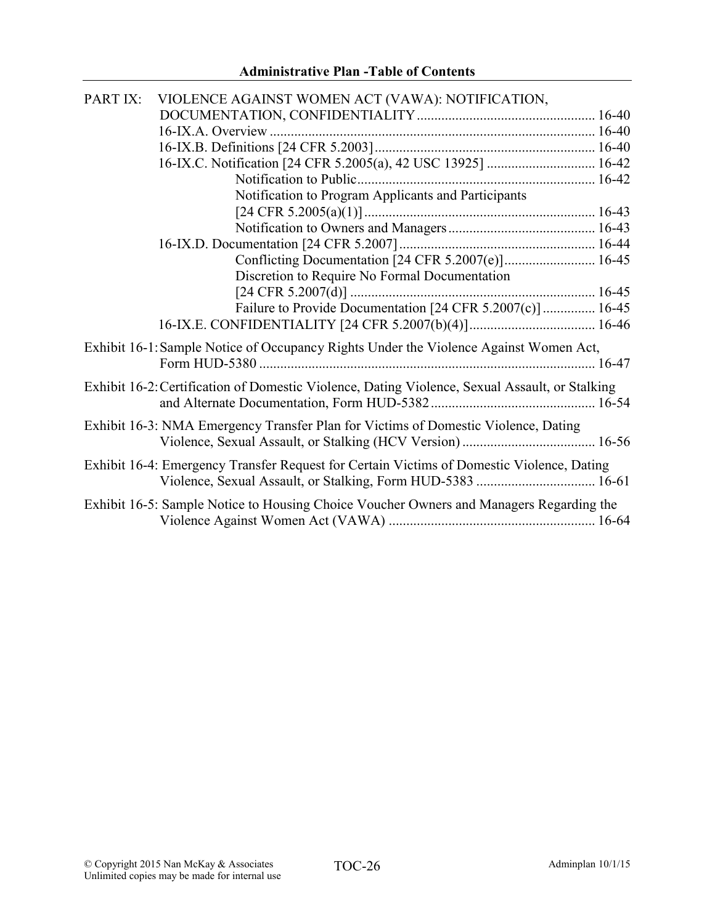| PART IX: | VIOLENCE AGAINST WOMEN ACT (VAWA): NOTIFICATION,                                               |  |
|----------|------------------------------------------------------------------------------------------------|--|
|          |                                                                                                |  |
|          |                                                                                                |  |
|          |                                                                                                |  |
|          |                                                                                                |  |
|          |                                                                                                |  |
|          | Notification to Program Applicants and Participants                                            |  |
|          |                                                                                                |  |
|          |                                                                                                |  |
|          |                                                                                                |  |
|          |                                                                                                |  |
|          | Discretion to Require No Formal Documentation                                                  |  |
|          |                                                                                                |  |
|          | Failure to Provide Documentation [24 CFR 5.2007(c)]  16-45                                     |  |
|          |                                                                                                |  |
|          |                                                                                                |  |
|          | Exhibit 16-1: Sample Notice of Occupancy Rights Under the Violence Against Women Act,          |  |
|          |                                                                                                |  |
|          | Exhibit 16-2: Certification of Domestic Violence, Dating Violence, Sexual Assault, or Stalking |  |
|          |                                                                                                |  |
|          | Exhibit 16-3: NMA Emergency Transfer Plan for Victims of Domestic Violence, Dating             |  |
|          |                                                                                                |  |
|          |                                                                                                |  |
|          | Exhibit 16-4: Emergency Transfer Request for Certain Victims of Domestic Violence, Dating      |  |
|          |                                                                                                |  |
|          | Exhibit 16-5: Sample Notice to Housing Choice Voucher Owners and Managers Regarding the        |  |
|          |                                                                                                |  |
|          |                                                                                                |  |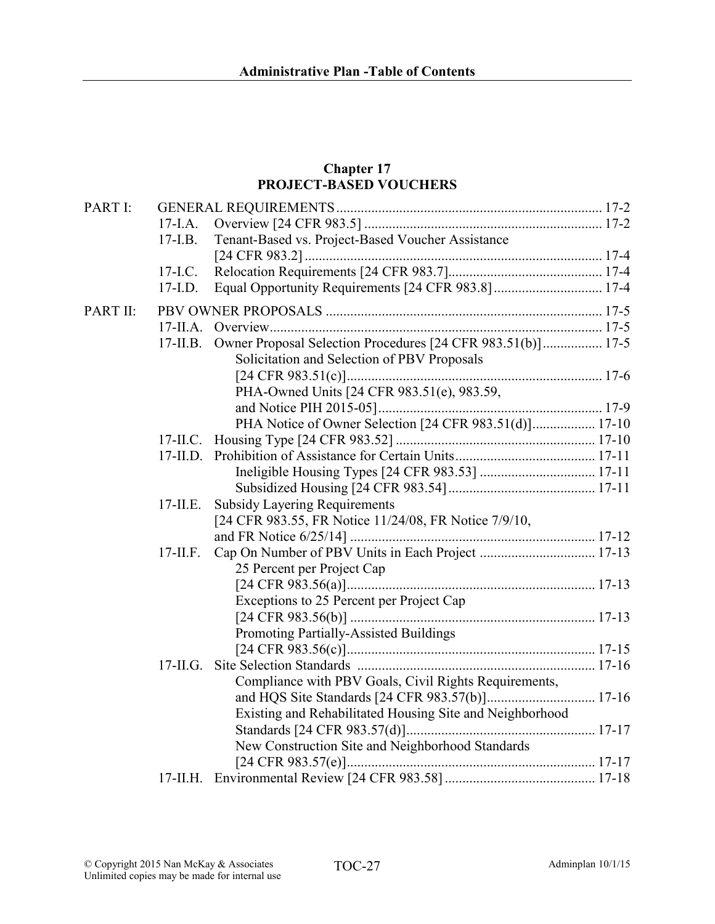#### Chapter 17 PROJECT-BASED VOUCHERS

| PART I:  |             |                                                             |  |
|----------|-------------|-------------------------------------------------------------|--|
|          | $17-I.A.$   |                                                             |  |
|          | $17-I.B.$   | Tenant-Based vs. Project-Based Voucher Assistance           |  |
|          |             |                                                             |  |
|          | $17-I.C.$   |                                                             |  |
|          | $17-I.D.$   |                                                             |  |
| PART II: |             |                                                             |  |
|          | $17$ -II.A. |                                                             |  |
|          | $17$ -II.B. | Owner Proposal Selection Procedures [24 CFR 983.51(b)] 17-5 |  |
|          |             | Solicitation and Selection of PBV Proposals                 |  |
|          |             |                                                             |  |
|          |             | PHA-Owned Units [24 CFR 983.51(e), 983.59,                  |  |
|          |             |                                                             |  |
|          |             | PHA Notice of Owner Selection [24 CFR 983.51(d)] 17-10      |  |
|          | $17$ -II.C. |                                                             |  |
|          |             |                                                             |  |
|          |             |                                                             |  |
|          |             |                                                             |  |
|          | $17$ -II.E. | <b>Subsidy Layering Requirements</b>                        |  |
|          |             | [24 CFR 983.55, FR Notice 11/24/08, FR Notice 7/9/10,       |  |
|          |             |                                                             |  |
|          | $17$ -II.F. |                                                             |  |
|          |             | 25 Percent per Project Cap                                  |  |
|          |             |                                                             |  |
|          |             | Exceptions to 25 Percent per Project Cap                    |  |
|          |             |                                                             |  |
|          |             | Promoting Partially-Assisted Buildings                      |  |
|          |             |                                                             |  |
|          | $17$ -II.G. |                                                             |  |
|          |             | Compliance with PBV Goals, Civil Rights Requirements,       |  |
|          |             |                                                             |  |
|          |             | Existing and Rehabilitated Housing Site and Neighborhood    |  |
|          |             |                                                             |  |
|          |             | New Construction Site and Neighborhood Standards            |  |
|          |             |                                                             |  |
|          |             |                                                             |  |
|          |             |                                                             |  |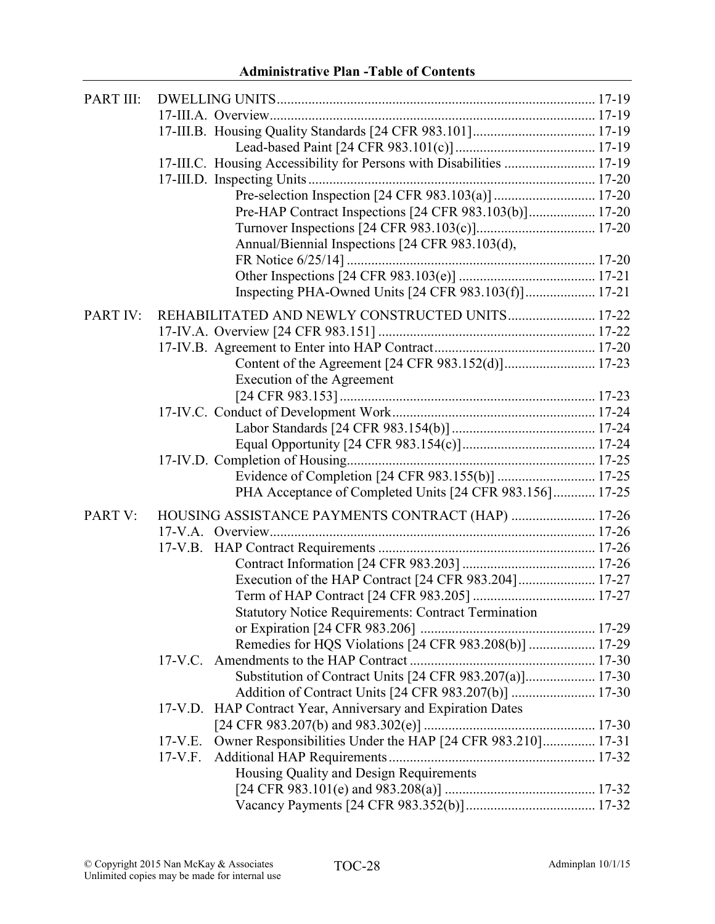# Administrative Plan -Table of Contents

| PART III: |                                                                          |  |
|-----------|--------------------------------------------------------------------------|--|
|           |                                                                          |  |
|           |                                                                          |  |
|           |                                                                          |  |
|           | 17-III.C. Housing Accessibility for Persons with Disabilities  17-19     |  |
|           |                                                                          |  |
|           |                                                                          |  |
|           | Pre-HAP Contract Inspections [24 CFR 983.103(b)] 17-20                   |  |
|           |                                                                          |  |
|           | Annual/Biennial Inspections [24 CFR 983.103(d),                          |  |
|           |                                                                          |  |
|           |                                                                          |  |
|           | Inspecting PHA-Owned Units [24 CFR 983.103(f)] 17-21                     |  |
| PART IV:  | REHABILITATED AND NEWLY CONSTRUCTED UNITS 17-22                          |  |
|           |                                                                          |  |
|           |                                                                          |  |
|           |                                                                          |  |
|           | Execution of the Agreement                                               |  |
|           |                                                                          |  |
|           |                                                                          |  |
|           |                                                                          |  |
|           |                                                                          |  |
|           |                                                                          |  |
|           |                                                                          |  |
|           | PHA Acceptance of Completed Units [24 CFR 983.156] 17-25                 |  |
| PART V:   | HOUSING ASSISTANCE PAYMENTS CONTRACT (HAP)  17-26                        |  |
|           |                                                                          |  |
|           |                                                                          |  |
|           |                                                                          |  |
|           |                                                                          |  |
|           |                                                                          |  |
|           | <b>Statutory Notice Requirements: Contract Termination</b>               |  |
|           |                                                                          |  |
|           | Remedies for HQS Violations [24 CFR 983.208(b)]  17-29                   |  |
|           |                                                                          |  |
|           | Substitution of Contract Units [24 CFR 983.207(a)] 17-30                 |  |
|           |                                                                          |  |
|           | HAP Contract Year, Anniversary and Expiration Dates<br>$17-V.D.$         |  |
|           |                                                                          |  |
|           | Owner Responsibilities Under the HAP [24 CFR 983.210] 17-31<br>$17-V.E.$ |  |
|           | $17-V.F.$                                                                |  |
|           | Housing Quality and Design Requirements                                  |  |
|           |                                                                          |  |
|           |                                                                          |  |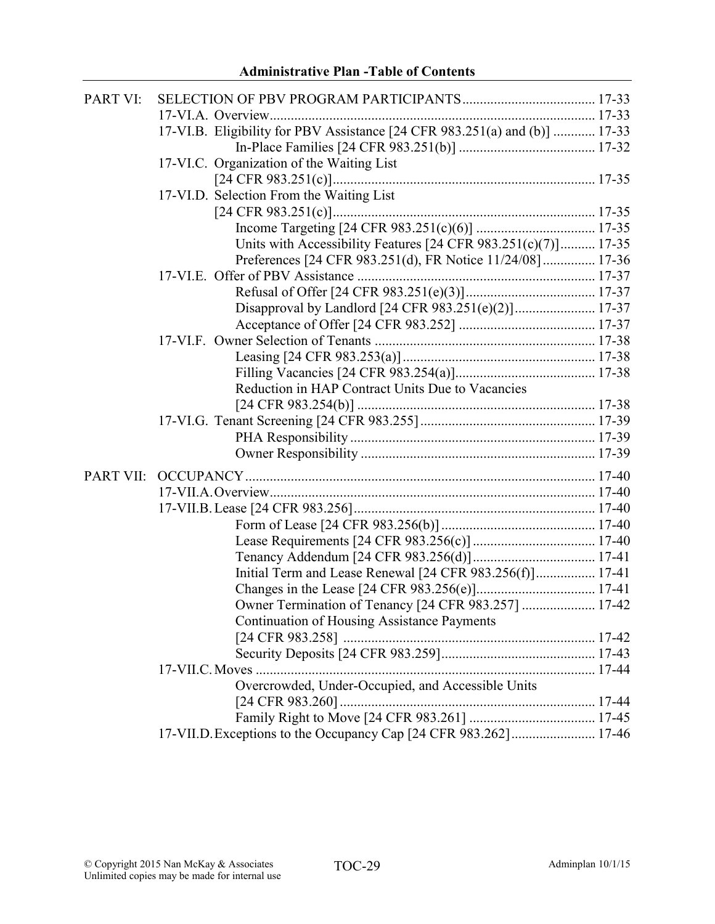| 17-VI.B. Eligibility for PBV Assistance [24 CFR 983.251(a) and (b)]  17-33<br>17-VI.C. Organization of the Waiting List<br>17-VI.D. Selection From the Waiting List<br>Units with Accessibility Features $[24 \text{ CFR } 983.251(c)(7)]$ 17-35<br>Preferences [24 CFR 983.251(d), FR Notice 11/24/08] 17-36<br>Disapproval by Landlord [24 CFR 983.251(e)(2)] 17-37<br>Reduction in HAP Contract Units Due to Vacancies<br>Initial Term and Lease Renewal [24 CFR 983.256(f)] 17-41<br>Owner Termination of Tenancy [24 CFR 983.257]  17-42<br><b>Continuation of Housing Assistance Payments</b><br>Overcrowded, Under-Occupied, and Accessible Units | PART VI: |                                                                  |  |
|----------------------------------------------------------------------------------------------------------------------------------------------------------------------------------------------------------------------------------------------------------------------------------------------------------------------------------------------------------------------------------------------------------------------------------------------------------------------------------------------------------------------------------------------------------------------------------------------------------------------------------------------------------|----------|------------------------------------------------------------------|--|
|                                                                                                                                                                                                                                                                                                                                                                                                                                                                                                                                                                                                                                                          |          |                                                                  |  |
|                                                                                                                                                                                                                                                                                                                                                                                                                                                                                                                                                                                                                                                          |          |                                                                  |  |
|                                                                                                                                                                                                                                                                                                                                                                                                                                                                                                                                                                                                                                                          |          |                                                                  |  |
|                                                                                                                                                                                                                                                                                                                                                                                                                                                                                                                                                                                                                                                          |          |                                                                  |  |
|                                                                                                                                                                                                                                                                                                                                                                                                                                                                                                                                                                                                                                                          |          |                                                                  |  |
|                                                                                                                                                                                                                                                                                                                                                                                                                                                                                                                                                                                                                                                          |          |                                                                  |  |
|                                                                                                                                                                                                                                                                                                                                                                                                                                                                                                                                                                                                                                                          |          |                                                                  |  |
|                                                                                                                                                                                                                                                                                                                                                                                                                                                                                                                                                                                                                                                          |          |                                                                  |  |
|                                                                                                                                                                                                                                                                                                                                                                                                                                                                                                                                                                                                                                                          |          |                                                                  |  |
|                                                                                                                                                                                                                                                                                                                                                                                                                                                                                                                                                                                                                                                          |          |                                                                  |  |
|                                                                                                                                                                                                                                                                                                                                                                                                                                                                                                                                                                                                                                                          |          |                                                                  |  |
|                                                                                                                                                                                                                                                                                                                                                                                                                                                                                                                                                                                                                                                          |          |                                                                  |  |
|                                                                                                                                                                                                                                                                                                                                                                                                                                                                                                                                                                                                                                                          |          |                                                                  |  |
|                                                                                                                                                                                                                                                                                                                                                                                                                                                                                                                                                                                                                                                          |          |                                                                  |  |
|                                                                                                                                                                                                                                                                                                                                                                                                                                                                                                                                                                                                                                                          |          |                                                                  |  |
|                                                                                                                                                                                                                                                                                                                                                                                                                                                                                                                                                                                                                                                          |          |                                                                  |  |
|                                                                                                                                                                                                                                                                                                                                                                                                                                                                                                                                                                                                                                                          |          |                                                                  |  |
|                                                                                                                                                                                                                                                                                                                                                                                                                                                                                                                                                                                                                                                          |          |                                                                  |  |
|                                                                                                                                                                                                                                                                                                                                                                                                                                                                                                                                                                                                                                                          |          |                                                                  |  |
|                                                                                                                                                                                                                                                                                                                                                                                                                                                                                                                                                                                                                                                          |          |                                                                  |  |
|                                                                                                                                                                                                                                                                                                                                                                                                                                                                                                                                                                                                                                                          |          |                                                                  |  |
|                                                                                                                                                                                                                                                                                                                                                                                                                                                                                                                                                                                                                                                          |          |                                                                  |  |
|                                                                                                                                                                                                                                                                                                                                                                                                                                                                                                                                                                                                                                                          |          |                                                                  |  |
|                                                                                                                                                                                                                                                                                                                                                                                                                                                                                                                                                                                                                                                          |          |                                                                  |  |
|                                                                                                                                                                                                                                                                                                                                                                                                                                                                                                                                                                                                                                                          |          |                                                                  |  |
|                                                                                                                                                                                                                                                                                                                                                                                                                                                                                                                                                                                                                                                          |          |                                                                  |  |
|                                                                                                                                                                                                                                                                                                                                                                                                                                                                                                                                                                                                                                                          |          |                                                                  |  |
|                                                                                                                                                                                                                                                                                                                                                                                                                                                                                                                                                                                                                                                          |          |                                                                  |  |
|                                                                                                                                                                                                                                                                                                                                                                                                                                                                                                                                                                                                                                                          |          |                                                                  |  |
|                                                                                                                                                                                                                                                                                                                                                                                                                                                                                                                                                                                                                                                          |          |                                                                  |  |
|                                                                                                                                                                                                                                                                                                                                                                                                                                                                                                                                                                                                                                                          |          |                                                                  |  |
|                                                                                                                                                                                                                                                                                                                                                                                                                                                                                                                                                                                                                                                          |          |                                                                  |  |
|                                                                                                                                                                                                                                                                                                                                                                                                                                                                                                                                                                                                                                                          |          |                                                                  |  |
|                                                                                                                                                                                                                                                                                                                                                                                                                                                                                                                                                                                                                                                          |          |                                                                  |  |
|                                                                                                                                                                                                                                                                                                                                                                                                                                                                                                                                                                                                                                                          |          |                                                                  |  |
|                                                                                                                                                                                                                                                                                                                                                                                                                                                                                                                                                                                                                                                          |          |                                                                  |  |
|                                                                                                                                                                                                                                                                                                                                                                                                                                                                                                                                                                                                                                                          |          |                                                                  |  |
|                                                                                                                                                                                                                                                                                                                                                                                                                                                                                                                                                                                                                                                          |          |                                                                  |  |
|                                                                                                                                                                                                                                                                                                                                                                                                                                                                                                                                                                                                                                                          |          |                                                                  |  |
|                                                                                                                                                                                                                                                                                                                                                                                                                                                                                                                                                                                                                                                          |          | 17-VII.D. Exceptions to the Occupancy Cap [24 CFR 983.262] 17-46 |  |